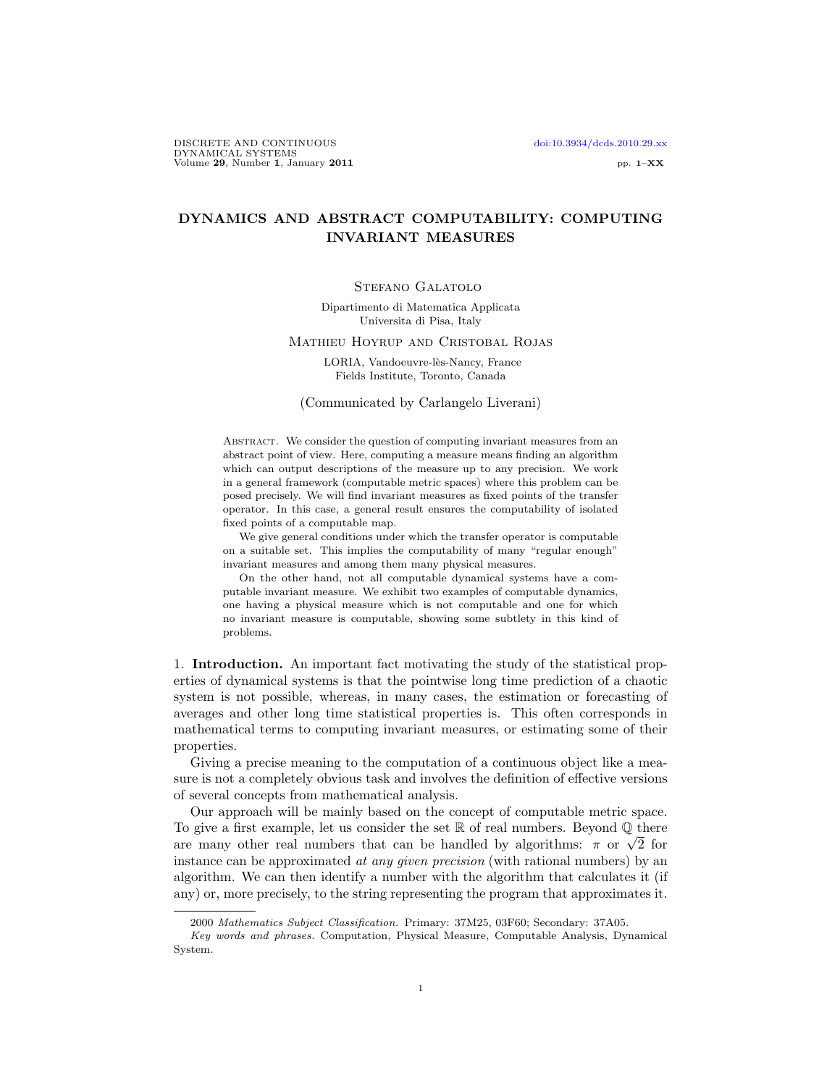# DYNAMICS AND ABSTRACT COMPUTABILITY: COMPUTING INVARIANT MEASURES

## STEFANO GALATOLO

Dipartimento di Matematica Applicata Universita di Pisa, Italy

Mathieu Hoyrup and Cristobal Rojas

LORIA, Vandoeuvre-lès-Nancy, France Fields Institute, Toronto, Canada

(Communicated by Carlangelo Liverani)

Abstract. We consider the question of computing invariant measures from an abstract point of view. Here, computing a measure means finding an algorithm which can output descriptions of the measure up to any precision. We work in a general framework (computable metric spaces) where this problem can be posed precisely. We will find invariant measures as fixed points of the transfer operator. In this case, a general result ensures the computability of isolated fixed points of a computable map.

We give general conditions under which the transfer operator is computable on a suitable set. This implies the computability of many "regular enough" invariant measures and among them many physical measures.

On the other hand, not all computable dynamical systems have a computable invariant measure. We exhibit two examples of computable dynamics, one having a physical measure which is not computable and one for which no invariant measure is computable, showing some subtlety in this kind of problems.

1. Introduction. An important fact motivating the study of the statistical properties of dynamical systems is that the pointwise long time prediction of a chaotic system is not possible, whereas, in many cases, the estimation or forecasting of averages and other long time statistical properties is. This often corresponds in mathematical terms to computing invariant measures, or estimating some of their properties.

Giving a precise meaning to the computation of a continuous object like a measure is not a completely obvious task and involves the definition of effective versions of several concepts from mathematical analysis.

Our approach will be mainly based on the concept of computable metric space. To give a first example, let us consider the set  $\mathbb R$  of real numbers. Beyond  $\mathbb Q$  there are many other real numbers that can be handled by algorithms:  $\pi$  or  $\sqrt{2}$  for instance can be approximated at any given precision (with rational numbers) by an algorithm. We can then identify a number with the algorithm that calculates it (if any) or, more precisely, to the string representing the program that approximates it.

<sup>2000</sup> Mathematics Subject Classification. Primary: 37M25, 03F60; Secondary: 37A05.

Key words and phrases. Computation, Physical Measure, Computable Analysis, Dynamical System.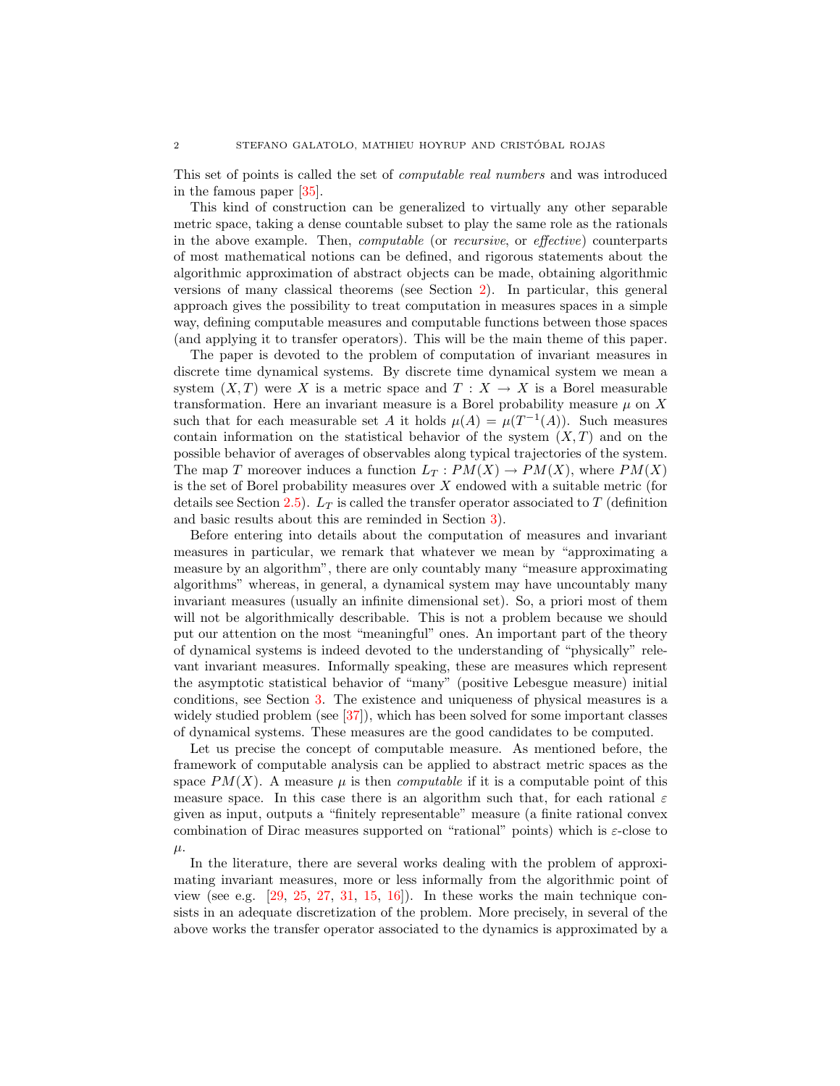This set of points is called the set of computable real numbers and was introduced in the famous paper [\[35\]](#page-19-0).

This kind of construction can be generalized to virtually any other separable metric space, taking a dense countable subset to play the same role as the rationals in the above example. Then, computable (or recursive, or effective) counterparts of most mathematical notions can be defined, and rigorous statements about the algorithmic approximation of abstract objects can be made, obtaining algorithmic versions of many classical theorems (see Section [2\)](#page-4-0). In particular, this general approach gives the possibility to treat computation in measures spaces in a simple way, defining computable measures and computable functions between those spaces (and applying it to transfer operators). This will be the main theme of this paper.

The paper is devoted to the problem of computation of invariant measures in discrete time dynamical systems. By discrete time dynamical system we mean a system  $(X, T)$  were X is a metric space and  $T : X \to X$  is a Borel measurable transformation. Here an invariant measure is a Borel probability measure  $\mu$  on X such that for each measurable set A it holds  $\mu(A) = \mu(T^{-1}(A))$ . Such measures contain information on the statistical behavior of the system  $(X, T)$  and on the possible behavior of averages of observables along typical trajectories of the system. The map T moreover induces a function  $L_T: PM(X) \to PM(X)$ , where  $PM(X)$ is the set of Borel probability measures over X endowed with a suitable metric (for details see Section [2.5\)](#page-10-0).  $L_T$  is called the transfer operator associated to T (definition and basic results about this are reminded in Section [3\)](#page-11-0).

Before entering into details about the computation of measures and invariant measures in particular, we remark that whatever we mean by "approximating a measure by an algorithm", there are only countably many "measure approximating algorithms" whereas, in general, a dynamical system may have uncountably many invariant measures (usually an infinite dimensional set). So, a priori most of them will not be algorithmically describable. This is not a problem because we should put our attention on the most "meaningful" ones. An important part of the theory of dynamical systems is indeed devoted to the understanding of "physically" relevant invariant measures. Informally speaking, these are measures which represent the asymptotic statistical behavior of "many" (positive Lebesgue measure) initial conditions, see Section [3.](#page-11-0) The existence and uniqueness of physical measures is a widely studied problem (see [\[37\]](#page-19-1)), which has been solved for some important classes of dynamical systems. These measures are the good candidates to be computed.

Let us precise the concept of computable measure. As mentioned before, the framework of computable analysis can be applied to abstract metric spaces as the space  $PM(X)$ . A measure  $\mu$  is then *computable* if it is a computable point of this measure space. In this case there is an algorithm such that, for each rational  $\varepsilon$ given as input, outputs a "finitely representable" measure (a finite rational convex combination of Dirac measures supported on "rational" points) which is ε-close to  $\mu$ .

In the literature, there are several works dealing with the problem of approximating invariant measures, more or less informally from the algorithmic point of view (see e.g.  $[29, 25, 27, 31, 15, 16]$  $[29, 25, 27, 31, 15, 16]$  $[29, 25, 27, 31, 15, 16]$  $[29, 25, 27, 31, 15, 16]$  $[29, 25, 27, 31, 15, 16]$  $[29, 25, 27, 31, 15, 16]$  $[29, 25, 27, 31, 15, 16]$  $[29, 25, 27, 31, 15, 16]$  $[29, 25, 27, 31, 15, 16]$  $[29, 25, 27, 31, 15, 16]$ ). In these works the main technique consists in an adequate discretization of the problem. More precisely, in several of the above works the transfer operator associated to the dynamics is approximated by a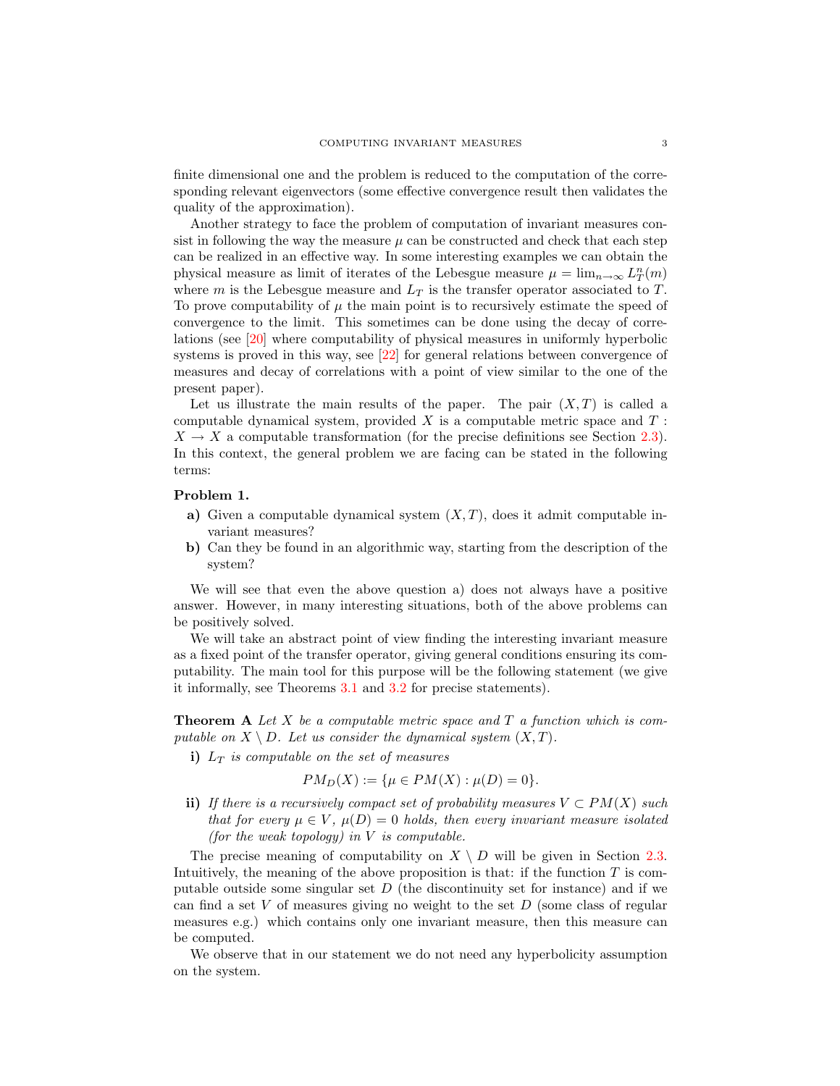finite dimensional one and the problem is reduced to the computation of the corresponding relevant eigenvectors (some effective convergence result then validates the quality of the approximation).

Another strategy to face the problem of computation of invariant measures consist in following the way the measure  $\mu$  can be constructed and check that each step can be realized in an effective way. In some interesting examples we can obtain the physical measure as limit of iterates of the Lebesgue measure  $\mu = \lim_{n \to \infty} L_T^n(m)$ where m is the Lebesgue measure and  $L_T$  is the transfer operator associated to T. To prove computability of  $\mu$  the main point is to recursively estimate the speed of convergence to the limit. This sometimes can be done using the decay of correlations (see [\[20\]](#page-19-6) where computability of physical measures in uniformly hyperbolic systems is proved in this way, see [\[22\]](#page-19-7) for general relations between convergence of measures and decay of correlations with a point of view similar to the one of the present paper).

Let us illustrate the main results of the paper. The pair  $(X, T)$  is called a computable dynamical system, provided  $X$  is a computable metric space and  $T$ :  $X \to X$  a computable transformation (for the precise definitions see Section [2.3\)](#page-5-0). In this context, the general problem we are facing can be stated in the following terms:

# <span id="page-2-0"></span>Problem 1.

- a) Given a computable dynamical system  $(X, T)$ , does it admit computable invariant measures?
- b) Can they be found in an algorithmic way, starting from the description of the system?

We will see that even the above question a) does not always have a positive answer. However, in many interesting situations, both of the above problems can be positively solved.

We will take an abstract point of view finding the interesting invariant measure as a fixed point of the transfer operator, giving general conditions ensuring its computability. The main tool for this purpose will be the following statement (we give it informally, see Theorems [3.1](#page-13-0) and [3.2](#page-13-1) for precise statements).

**Theorem A** Let X be a computable metric space and  $T$  a function which is computable on  $X \setminus D$ . Let us consider the dynamical system  $(X, T)$ .

i)  $L_T$  is computable on the set of measures

$$
PM_D(X) := \{ \mu \in PM(X) : \mu(D) = 0 \}.
$$

ii) If there is a recursively compact set of probability measures  $V \subset PM(X)$  such that for every  $\mu \in V$ ,  $\mu(D) = 0$  holds, then every invariant measure isolated (for the weak topology) in  $V$  is computable.

The precise meaning of computability on  $X \setminus D$  will be given in Section [2.3.](#page-5-0) Intuitively, the meaning of the above proposition is that: if the function  $T$  is computable outside some singular set  $D$  (the discontinuity set for instance) and if we can find a set  $V$  of measures giving no weight to the set  $D$  (some class of regular measures e.g.) which contains only one invariant measure, then this measure can be computed.

We observe that in our statement we do not need any hyperbolicity assumption on the system.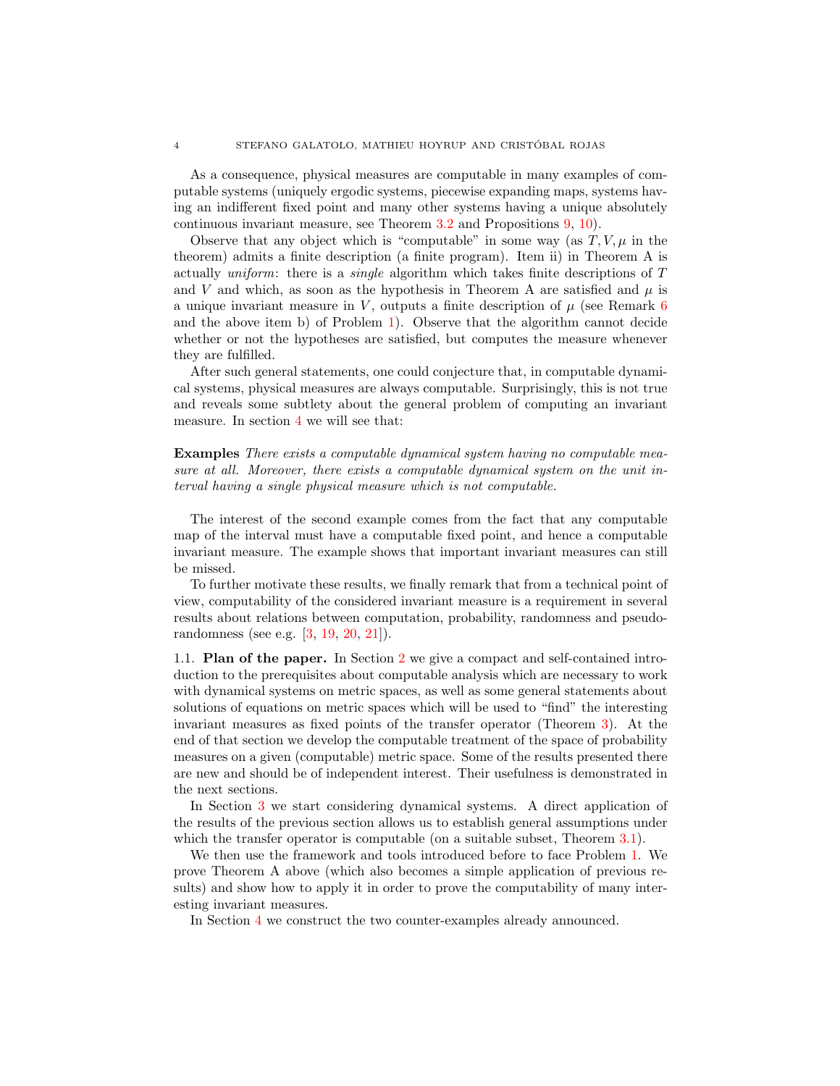As a consequence, physical measures are computable in many examples of computable systems (uniquely ergodic systems, piecewise expanding maps, systems having an indifferent fixed point and many other systems having a unique absolutely continuous invariant measure, see Theorem [3.2](#page-13-1) and Propositions [9,](#page-14-0) [10\)](#page-14-1).

Observe that any object which is "computable" in some way (as  $T, V, \mu$  in the theorem) admits a finite description (a finite program). Item ii) in Theorem A is actually uniform: there is a single algorithm which takes finite descriptions of T and V and which, as soon as the hypothesis in Theorem A are satisfied and  $\mu$  is a unique invariant measure in V, outputs a finite description of  $\mu$  (see Remark [6](#page-13-2)) and the above item b) of Problem [1\)](#page-2-0). Observe that the algorithm cannot decide whether or not the hypotheses are satisfied, but computes the measure whenever they are fulfilled.

After such general statements, one could conjecture that, in computable dynamical systems, physical measures are always computable. Surprisingly, this is not true and reveals some subtlety about the general problem of computing an invariant measure. In section [4](#page-15-0) we will see that:

Examples There exists a computable dynamical system having no computable measure at all. Moreover, there exists a computable dynamical system on the unit interval having a single physical measure which is not computable.

The interest of the second example comes from the fact that any computable map of the interval must have a computable fixed point, and hence a computable invariant measure. The example shows that important invariant measures can still be missed.

To further motivate these results, we finally remark that from a technical point of view, computability of the considered invariant measure is a requirement in several results about relations between computation, probability, randomness and pseudorandomness (see e.g. [\[3,](#page-18-2) [19,](#page-19-8) [20,](#page-19-6) [21\]](#page-19-9)).

1.1. Plan of the paper. In Section [2](#page-4-0) we give a compact and self-contained introduction to the prerequisites about computable analysis which are necessary to work with dynamical systems on metric spaces, as well as some general statements about solutions of equations on metric spaces which will be used to "find" the interesting invariant measures as fixed points of the transfer operator (Theorem [3\)](#page-9-0). At the end of that section we develop the computable treatment of the space of probability measures on a given (computable) metric space. Some of the results presented there are new and should be of independent interest. Their usefulness is demonstrated in the next sections.

In Section [3](#page-11-0) we start considering dynamical systems. A direct application of the results of the previous section allows us to establish general assumptions under which the transfer operator is computable (on a suitable subset, Theorem [3.1\)](#page-13-0).

We then use the framework and tools introduced before to face Problem [1.](#page-2-0) We prove Theorem A above (which also becomes a simple application of previous results) and show how to apply it in order to prove the computability of many interesting invariant measures.

In Section [4](#page-15-0) we construct the two counter-examples already announced.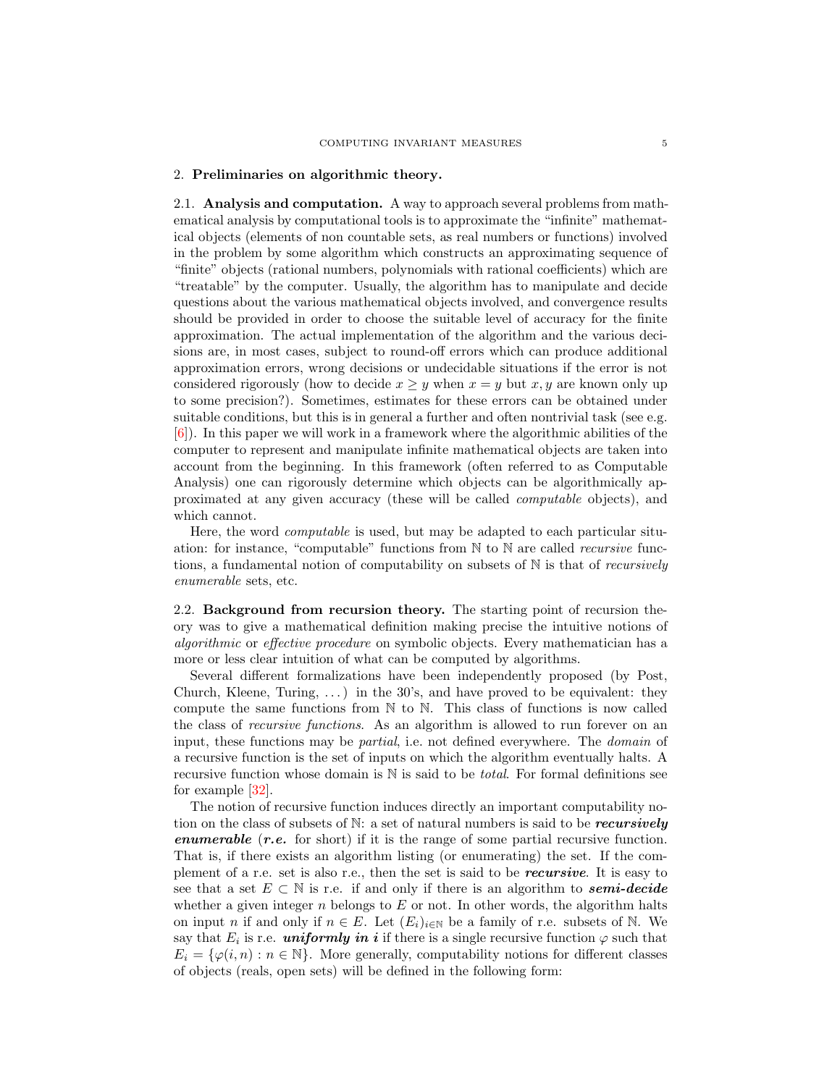### <span id="page-4-0"></span>2. Preliminaries on algorithmic theory.

2.1. Analysis and computation. A way to approach several problems from mathematical analysis by computational tools is to approximate the "infinite" mathematical objects (elements of non countable sets, as real numbers or functions) involved in the problem by some algorithm which constructs an approximating sequence of "finite" objects (rational numbers, polynomials with rational coefficients) which are "treatable" by the computer. Usually, the algorithm has to manipulate and decide questions about the various mathematical objects involved, and convergence results should be provided in order to choose the suitable level of accuracy for the finite approximation. The actual implementation of the algorithm and the various decisions are, in most cases, subject to round-off errors which can produce additional approximation errors, wrong decisions or undecidable situations if the error is not considered rigorously (how to decide  $x \geq y$  when  $x = y$  but  $x, y$  are known only up to some precision?). Sometimes, estimates for these errors can be obtained under suitable conditions, but this is in general a further and often nontrivial task (see e.g. [\[6\]](#page-18-3)). In this paper we will work in a framework where the algorithmic abilities of the computer to represent and manipulate infinite mathematical objects are taken into account from the beginning. In this framework (often referred to as Computable Analysis) one can rigorously determine which objects can be algorithmically approximated at any given accuracy (these will be called computable objects), and which cannot.

Here, the word computable is used, but may be adapted to each particular situation: for instance, "computable" functions from  $\mathbb N$  to  $\mathbb N$  are called *recursive* functions, a fundamental notion of computability on subsets of  $\mathbb N$  is that of *recursively* enumerable sets, etc.

<span id="page-4-1"></span>2.2. Background from recursion theory. The starting point of recursion theory was to give a mathematical definition making precise the intuitive notions of algorithmic or effective procedure on symbolic objects. Every mathematician has a more or less clear intuition of what can be computed by algorithms.

Several different formalizations have been independently proposed (by Post, Church, Kleene, Turing,  $\ldots$ ) in the 30's, and have proved to be equivalent: they compute the same functions from  $\mathbb N$  to  $\mathbb N$ . This class of functions is now called the class of recursive functions. As an algorithm is allowed to run forever on an input, these functions may be *partial*, i.e. not defined everywhere. The *domain* of a recursive function is the set of inputs on which the algorithm eventually halts. A recursive function whose domain is  $N$  is said to be *total*. For formal definitions see for example [\[32\]](#page-19-10).

The notion of recursive function induces directly an important computability notion on the class of subsets of  $\mathbb{N}$ : a set of natural numbers is said to be **recursively** enumerable (r.e. for short) if it is the range of some partial recursive function. That is, if there exists an algorithm listing (or enumerating) the set. If the complement of a r.e. set is also r.e., then the set is said to be **recursive**. It is easy to see that a set  $E \subset \mathbb{N}$  is r.e. if and only if there is an algorithm to **semi-decide** whether a given integer  $n$  belongs to  $E$  or not. In other words, the algorithm halts on input n if and only if  $n \in E$ . Let  $(E_i)_{i \in \mathbb{N}}$  be a family of r.e. subsets of N. We say that  $E_i$  is r.e. **uniformly in i** if there is a single recursive function  $\varphi$  such that  $E_i = \{\varphi(i, n) : n \in \mathbb{N}\}\.$  More generally, computability notions for different classes of objects (reals, open sets) will be defined in the following form: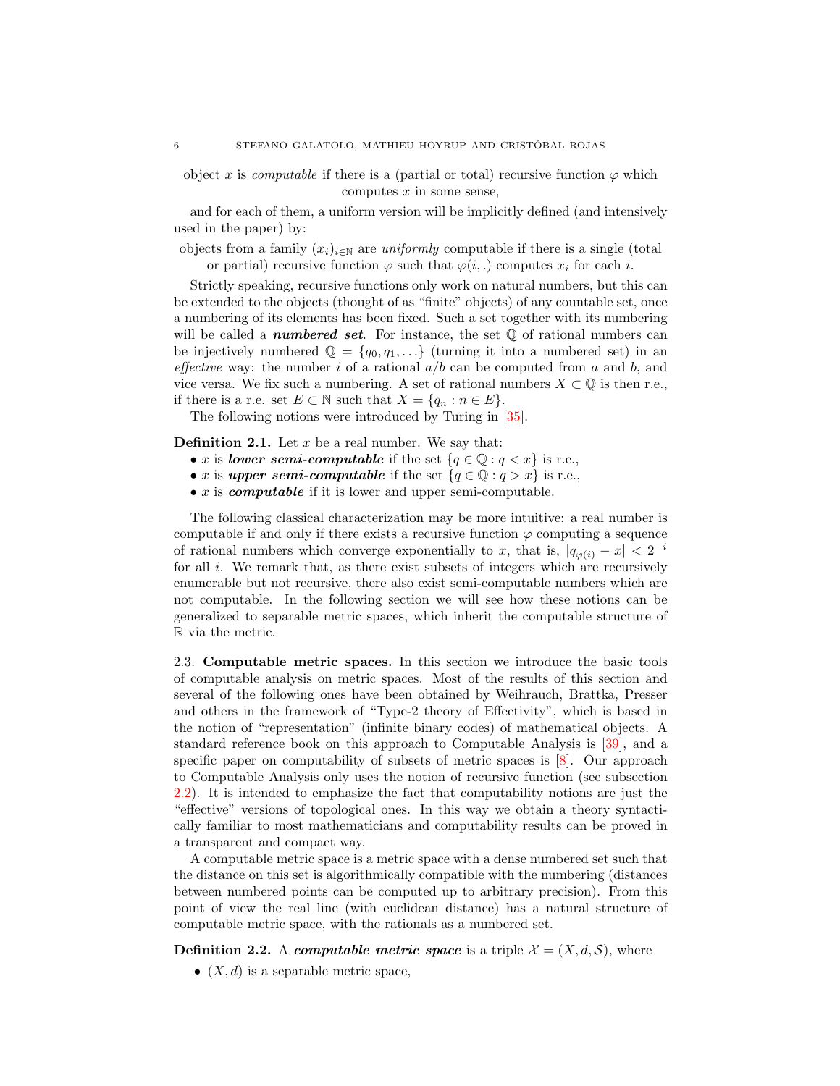object x is computable if there is a (partial or total) recursive function  $\varphi$  which computes  $x$  in some sense.

and for each of them, a uniform version will be implicitly defined (and intensively used in the paper) by:

objects from a family  $(x_i)_{i\in\mathbb{N}}$  are *uniformly* computable if there is a single (total or partial) recursive function  $\varphi$  such that  $\varphi(i,.)$  computes  $x_i$  for each i.

Strictly speaking, recursive functions only work on natural numbers, but this can be extended to the objects (thought of as "finite" objects) of any countable set, once a numbering of its elements has been fixed. Such a set together with its numbering will be called a **numbered set**. For instance, the set  $\mathbb Q$  of rational numbers can be injectively numbered  $\mathbb{Q} = \{q_0, q_1, \ldots\}$  (turning it into a numbered set) in an effective way: the number i of a rational  $a/b$  can be computed from a and b, and vice versa. We fix such a numbering. A set of rational numbers  $X \subset \mathbb{Q}$  is then r.e., if there is a r.e. set  $E \subset \mathbb{N}$  such that  $X = \{q_n : n \in E\}.$ 

The following notions were introduced by Turing in [\[35\]](#page-19-0).

**Definition 2.1.** Let  $x$  be a real number. We say that:

- x is lower semi-computable if the set  $\{q \in \mathbb{Q} : q < x\}$  is r.e.,
- x is upper semi-computable if the set  $\{q \in \mathbb{Q} : q > x\}$  is r.e.,
- $x$  is *computable* if it is lower and upper semi-computable.

The following classical characterization may be more intuitive: a real number is computable if and only if there exists a recursive function  $\varphi$  computing a sequence of rational numbers which converge exponentially to x, that is,  $|q_{\varphi(i)} - x| < 2^{-i}$ for all  $i$ . We remark that, as there exist subsets of integers which are recursively enumerable but not recursive, there also exist semi-computable numbers which are not computable. In the following section we will see how these notions can be generalized to separable metric spaces, which inherit the computable structure of R via the metric.

<span id="page-5-0"></span>2.3. Computable metric spaces. In this section we introduce the basic tools of computable analysis on metric spaces. Most of the results of this section and several of the following ones have been obtained by Weihrauch, Brattka, Presser and others in the framework of "Type-2 theory of Effectivity", which is based in the notion of "representation" (infinite binary codes) of mathematical objects. A standard reference book on this approach to Computable Analysis is [\[39\]](#page-19-11), and a specific paper on computability of subsets of metric spaces is [\[8\]](#page-18-4). Our approach to Computable Analysis only uses the notion of recursive function (see subsection [2.2\)](#page-4-1). It is intended to emphasize the fact that computability notions are just the "effective" versions of topological ones. In this way we obtain a theory syntactically familiar to most mathematicians and computability results can be proved in a transparent and compact way.

A computable metric space is a metric space with a dense numbered set such that the distance on this set is algorithmically compatible with the numbering (distances between numbered points can be computed up to arbitrary precision). From this point of view the real line (with euclidean distance) has a natural structure of computable metric space, with the rationals as a numbered set.

**Definition 2.2.** A computable metric space is a triple  $\mathcal{X} = (X, d, \mathcal{S})$ , where

•  $(X, d)$  is a separable metric space,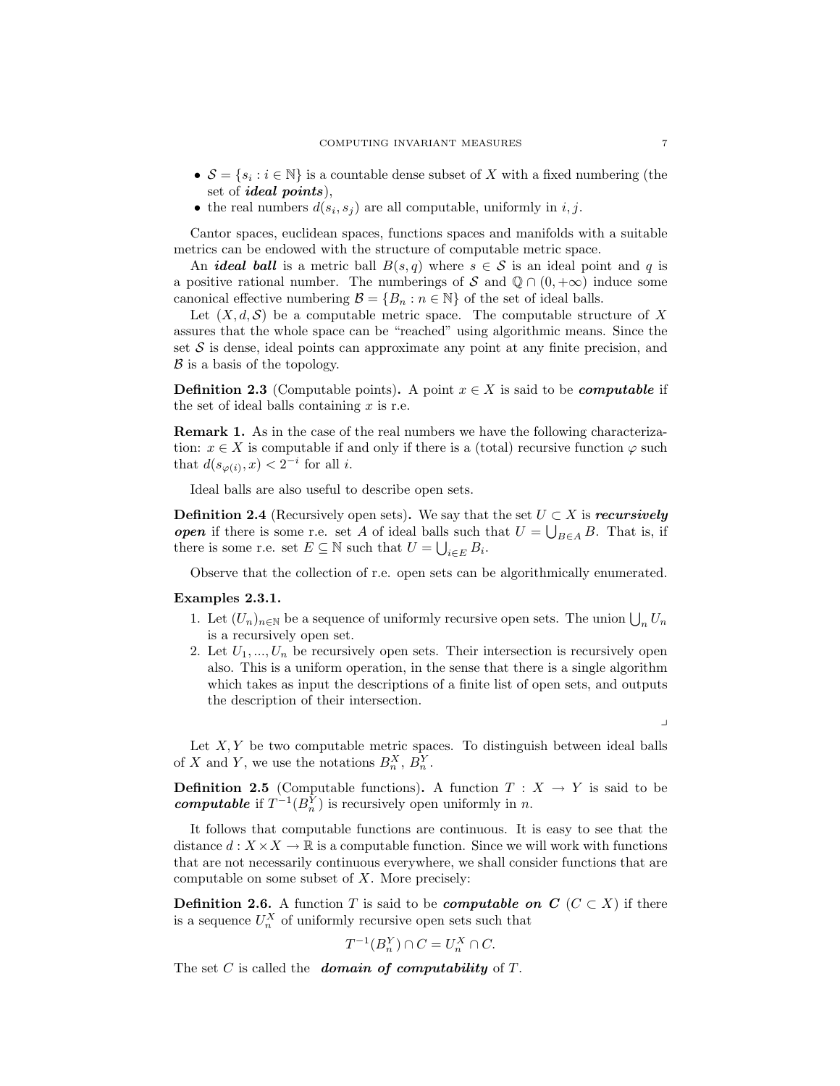- $S = \{s_i : i \in \mathbb{N}\}\$ is a countable dense subset of X with a fixed numbering (the set of *ideal points*).
- the real numbers  $d(s_i, s_j)$  are all computable, uniformly in  $i, j$ .

Cantor spaces, euclidean spaces, functions spaces and manifolds with a suitable metrics can be endowed with the structure of computable metric space.

An *ideal ball* is a metric ball  $B(s,q)$  where  $s \in S$  is an ideal point and q is a positive rational number. The numberings of S and  $\mathbb{Q} \cap (0, +\infty)$  induce some canonical effective numbering  $\mathcal{B} = \{B_n : n \in \mathbb{N}\}\$  of the set of ideal balls.

Let  $(X, d, \mathcal{S})$  be a computable metric space. The computable structure of X assures that the whole space can be "reached" using algorithmic means. Since the set  $S$  is dense, ideal points can approximate any point at any finite precision, and  $\beta$  is a basis of the topology.

**Definition 2.3** (Computable points). A point  $x \in X$  is said to be *computable* if the set of ideal balls containing  $x$  is r.e.

<span id="page-6-0"></span>Remark 1. As in the case of the real numbers we have the following characterization:  $x \in X$  is computable if and only if there is a (total) recursive function  $\varphi$  such that  $d(s_{\varphi(i)}, x) < 2^{-i}$  for all *i*.

Ideal balls are also useful to describe open sets.

**Definition 2.4** (Recursively open sets). We say that the set  $U \subset X$  is *recursively* **open** if there is some r.e. set A of ideal balls such that  $U = \bigcup_{B \in A} B$ . That is, if there is some r.e. set  $E \subseteq \mathbb{N}$  such that  $U = \bigcup_{i \in E} B_i$ .

Observe that the collection of r.e. open sets can be algorithmically enumerated.

## Examples 2.3.1.

- 1. Let  $(U_n)_{n\in\mathbb{N}}$  be a sequence of uniformly recursive open sets. The union  $\bigcup_n U_n$ is a recursively open set.
- 2. Let  $U_1, ..., U_n$  be recursively open sets. Their intersection is recursively open also. This is a uniform operation, in the sense that there is a single algorithm which takes as input the descriptions of a finite list of open sets, and outputs the description of their intersection.

 $\overline{a}$ 

Let  $X, Y$  be two computable metric spaces. To distinguish between ideal balls of X and Y, we use the notations  $B_n^X$ ,  $B_n^Y$ .

**Definition 2.5** (Computable functions). A function  $T : X \rightarrow Y$  is said to be **computable** if  $T^{-1}(B_n^Y)$  is recursively open uniformly in *n*.

It follows that computable functions are continuous. It is easy to see that the distance  $d: X \times X \to \mathbb{R}$  is a computable function. Since we will work with functions that are not necessarily continuous everywhere, we shall consider functions that are computable on some subset of X. More precisely:

**Definition 2.6.** A function T is said to be *computable on*  $C$  ( $C \subset X$ ) if there is a sequence  $U_n^X$  of uniformly recursive open sets such that

$$
T^{-1}(B_n^Y) \cap C = U_n^X \cap C.
$$

The set  $C$  is called the **domain of computability** of  $T$ .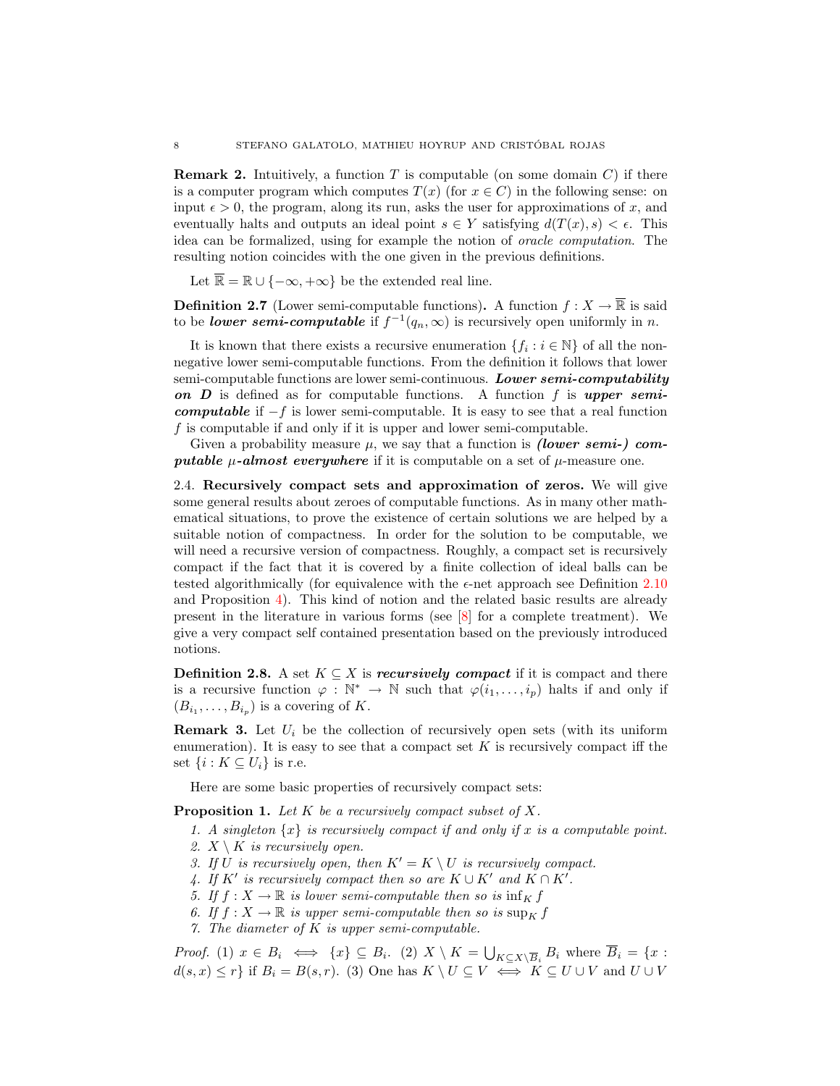**Remark 2.** Intuitively, a function T is computable (on some domain  $C$ ) if there is a computer program which computes  $T(x)$  (for  $x \in C$ ) in the following sense: on input  $\epsilon > 0$ , the program, along its run, asks the user for approximations of x, and eventually halts and outputs an ideal point  $s \in Y$  satisfying  $d(T(x), s) < \epsilon$ . This idea can be formalized, using for example the notion of oracle computation. The resulting notion coincides with the one given in the previous definitions.

Let  $\overline{\mathbb{R}} = \mathbb{R} \cup \{-\infty, +\infty\}$  be the extended real line.

**Definition 2.7** (Lower semi-computable functions). A function  $f: X \to \overline{\mathbb{R}}$  is said to be *lower semi-computable* if  $f^{-1}(q_n, \infty)$  is recursively open uniformly in n.

It is known that there exists a recursive enumeration  $\{f_i : i \in \mathbb{N}\}\)$  of all the nonnegative lower semi-computable functions. From the definition it follows that lower semi-computable functions are lower semi-continuous. Lower semi-computability on  $D$  is defined as for computable functions. A function f is upper semi**computable** if  $-f$  is lower semi-computable. It is easy to see that a real function f is computable if and only if it is upper and lower semi-computable.

Given a probability measure  $\mu$ , we say that a function is *(lower semi-)* computable  $\mu$ -almost everywhere if it is computable on a set of  $\mu$ -measure one.

2.4. Recursively compact sets and approximation of zeros. We will give some general results about zeroes of computable functions. As in many other mathematical situations, to prove the existence of certain solutions we are helped by a suitable notion of compactness. In order for the solution to be computable, we will need a recursive version of compactness. Roughly, a compact set is recursively compact if the fact that it is covered by a finite collection of ideal balls can be tested algorithmically (for equivalence with the  $\epsilon$ -net approach see Definition [2.10](#page-9-1) and Proposition [4\)](#page-9-2). This kind of notion and the related basic results are already present in the literature in various forms (see  $[8]$  for a complete treatment). We give a very compact self contained presentation based on the previously introduced notions.

**Definition 2.8.** A set  $K \subseteq X$  is *recursively compact* if it is compact and there is a recursive function  $\varphi : \mathbb{N}^* \to \mathbb{N}$  such that  $\varphi(i_1, \ldots, i_p)$  halts if and only if  $(B_{i_1}, \ldots, B_{i_p})$  is a covering of K.

**Remark 3.** Let  $U_i$  be the collection of recursively open sets (with its uniform enumeration). It is easy to see that a compact set  $K$  is recursively compact iff the set  $\{i : K \subseteq U_i\}$  is r.e.

Here are some basic properties of recursively compact sets:

<span id="page-7-4"></span>**Proposition 1.** Let  $K$  be a recursively compact subset of  $X$ .

- <span id="page-7-3"></span>1. A singleton  $\{x\}$  is recursively compact if and only if x is a computable point.
- <span id="page-7-0"></span>2.  $X \setminus K$  is recursively open.
- <span id="page-7-1"></span>3. If U is recursively open, then  $K' = K \setminus U$  is recursively compact.
- 4. If  $K'$  is recursively compact then so are  $K \cup K'$  and  $K \cap K'$ .
- 5. If  $f: X \to \mathbb{R}$  is lower semi-computable then so is  $\inf_K f$
- <span id="page-7-2"></span>6. If  $f: X \to \mathbb{R}$  is upper semi-computable then so is  $\sup_K f$
- 7. The diameter of  $K$  is upper semi-computable.

*Proof.* (1)  $x \in B_i \iff \{x\} \subseteq B_i$ . (2)  $X \setminus K = \bigcup_{K \subseteq X \setminus \overline{B}_i} B_i$  where  $B_i = \{x :$  $d(s, x) \leq r$  if  $B_i = B(s, r)$ . (3) One has  $K \setminus U \subseteq V \iff K \subseteq U \cup V$  and  $U \cup V$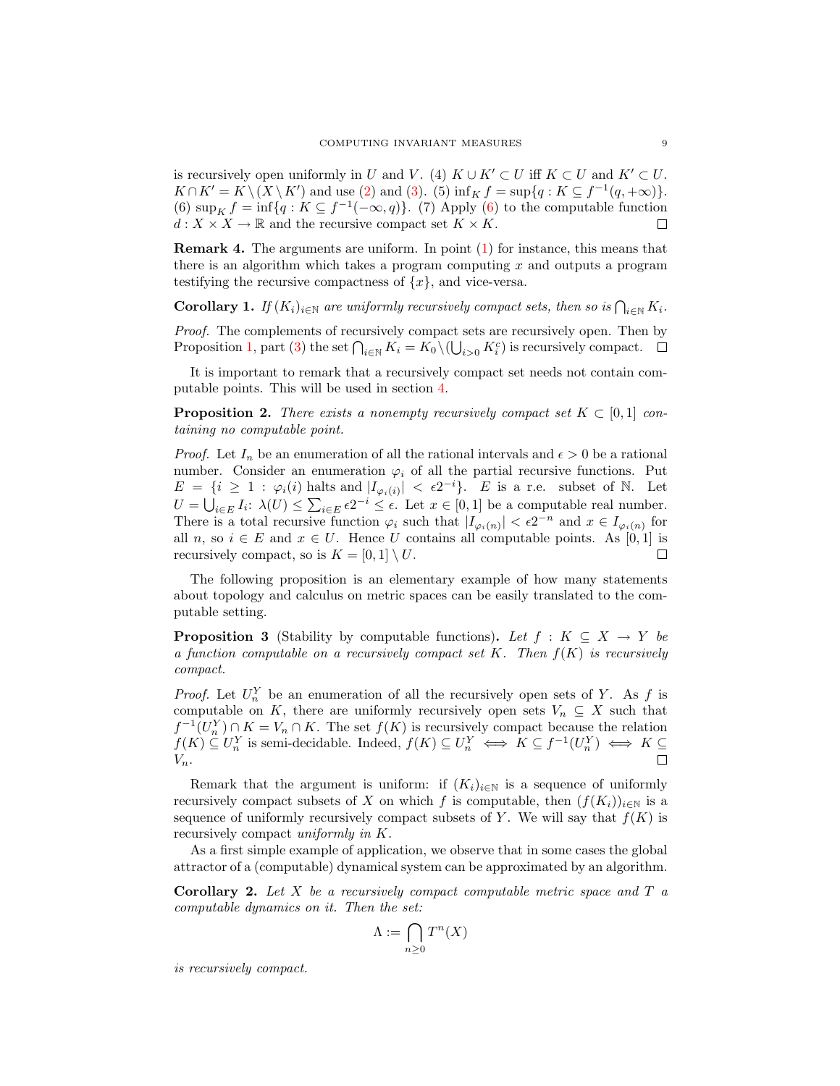is recursively open uniformly in U and V. (4)  $K \cup K' \subset U$  iff  $K \subset U$  and  $K' \subset U$ .  $K \cap K' = K \setminus (X \setminus K')$  and use [\(2\)](#page-7-0) and [\(3\)](#page-7-1). (5)  $\inf_K f = \sup\{q : K \subseteq f^{-1}(q, +\infty)\}.$ (6)  $\sup_K f = \inf\{q : K \subseteq f^{-1}(-\infty, q)\}.$  (7) Apply [\(6\)](#page-7-2) to the computable function  $d: X \times X \to \mathbb{R}$  and the recursive compact set  $K \times K$ .

Remark 4. The arguments are uniform. In point [\(1\)](#page-7-3) for instance, this means that there is an algorithm which takes a program computing  $x$  and outputs a program testifying the recursive compactness of  $\{x\}$ , and vice-versa.

<span id="page-8-1"></span>**Corollary 1.** If  $(K_i)_{i\in\mathbb{N}}$  are uniformly recursively compact sets, then so is  $\bigcap_{i\in\mathbb{N}} K_i$ .

Proof. The complements of recursively compact sets are recursively open. Then by Proposition [1,](#page-7-4) part [\(3\)](#page-7-1) the set  $\bigcap_{i\in\mathbb{N}} K_i = K_0 \setminus (\bigcup_{i>0} K_i^c)$  is recursively compact.

It is important to remark that a recursively compact set needs not contain computable points. This will be used in section [4.](#page-15-0)

<span id="page-8-2"></span>**Proposition 2.** There exists a nonempty recursively compact set  $K \subset [0,1]$  containing no computable point.

*Proof.* Let  $I_n$  be an enumeration of all the rational intervals and  $\epsilon > 0$  be a rational number. Consider an enumeration  $\varphi_i$  of all the partial recursive functions. Put  $E = \{i \geq 1 : \varphi_i(i) \text{ halts and } |I_{\varphi_i(i)}| < \epsilon 2^{-i}\}.$  E is a r.e. subset of N. Let  $U = \bigcup_{i \in E} I_i: \lambda(U) \leq \sum_{i \in E} \epsilon 2^{-i} \leq \epsilon.$  Let  $x \in [0,1]$  be a computable real number. There is a total recursive function  $\varphi_i$  such that  $|I_{\varphi_i(n)}| < \epsilon 2^{-n}$  and  $x \in I_{\varphi_i(n)}$  for all n, so  $i \in E$  and  $x \in U$ . Hence U contains all computable points. As [0, 1] is recursively compact, so is  $K = [0, 1] \setminus U$ . recursively compact, so is  $K = [0, 1] \setminus U$ .

The following proposition is an elementary example of how many statements about topology and calculus on metric spaces can be easily translated to the computable setting.

<span id="page-8-0"></span>**Proposition 3** (Stability by computable functions). Let  $f : K \subseteq X \rightarrow Y$  be a function computable on a recursively compact set K. Then  $f(K)$  is recursively compact.

*Proof.* Let  $U_n^Y$  be an enumeration of all the recursively open sets of Y. As f is computable on K, there are uniformly recursively open sets  $V_n \subseteq X$  such that  $f^{-1}(U_n^Y) \cap K = V_n \cap K$ . The set  $f(K)$  is recursively compact because the relation  $f(K) \subseteq U_n^Y$  is semi-decidable. Indeed,  $f(K) \subseteq U_n^Y \iff K \subseteq f^{-1}(U_n^Y) \iff K \subseteq$  $V_n$ .

Remark that the argument is uniform: if  $(K_i)_{i\in\mathbb{N}}$  is a sequence of uniformly recursively compact subsets of X on which f is computable, then  $(f(K_i))_{i\in\mathbb{N}}$  is a sequence of uniformly recursively compact subsets of Y. We will say that  $f(K)$  is recursively compact uniformly in K.

As a first simple example of application, we observe that in some cases the global attractor of a (computable) dynamical system can be approximated by an algorithm.

**Corollary 2.** Let X be a recursively compact computable metric space and  $T$  a computable dynamics on it. Then the set:

$$
\Lambda := \bigcap_{n \ge 0} T^n(X)
$$

is recursively compact.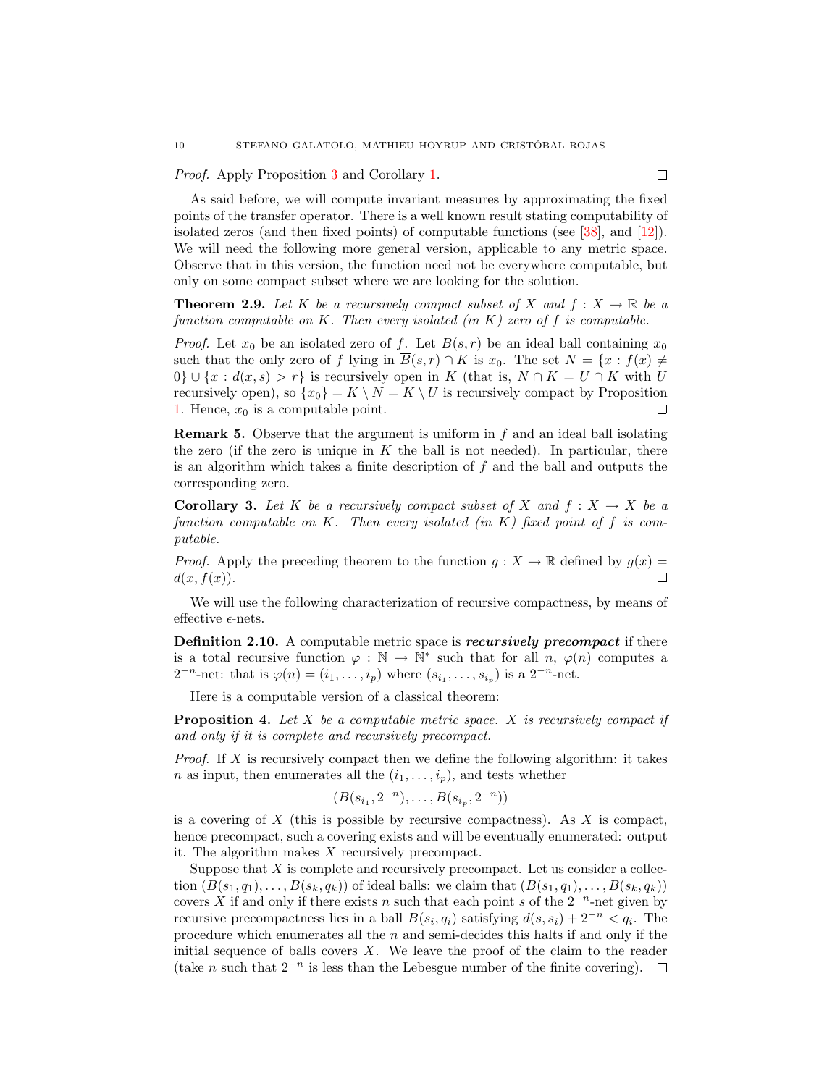Proof. Apply Proposition [3](#page-8-0) and Corollary [1.](#page-8-1)

As said before, we will compute invariant measures by approximating the fixed points of the transfer operator. There is a well known result stating computability of isolated zeros (and then fixed points) of computable functions (see [\[38\]](#page-19-12), and [\[12\]](#page-18-5)). We will need the following more general version, applicable to any metric space. Observe that in this version, the function need not be everywhere computable, but only on some compact subset where we are looking for the solution.

<span id="page-9-3"></span>**Theorem 2.9.** Let K be a recursively compact subset of X and  $f: X \to \mathbb{R}$  be a function computable on K. Then every isolated (in K) zero of f is computable.

*Proof.* Let  $x_0$  be an isolated zero of f. Let  $B(s, r)$  be an ideal ball containing  $x_0$ such that the only zero of f lying in  $\overline{B}(s, r) \cap K$  is  $x_0$ . The set  $N = \{x : f(x) \neq 0\}$  $0\} \cup \{x : d(x, s) > r\}$  is recursively open in K (that is,  $N \cap K = U \cap K$  with U recursively open), so  $\{x_0\} = K \setminus N = K \setminus U$  is recursively compact by Proposition 1. Hence,  $x_0$  is a computable point. [1.](#page-7-4) Hence,  $x_0$  is a computable point.

<span id="page-9-4"></span>Remark 5. Observe that the argument is uniform in f and an ideal ball isolating the zero (if the zero is unique in  $K$  the ball is not needed). In particular, there is an algorithm which takes a finite description of  $f$  and the ball and outputs the corresponding zero.

<span id="page-9-0"></span>**Corollary 3.** Let K be a recursively compact subset of X and  $f: X \to X$  be a function computable on K. Then every isolated  $(in K)$  fixed point of f is computable.

*Proof.* Apply the preceding theorem to the function  $g : X \to \mathbb{R}$  defined by  $g(x) = d(x, f(x))$ .  $d(x, f(x)).$ 

We will use the following characterization of recursive compactness, by means of effective  $\epsilon$ -nets.

<span id="page-9-1"></span>**Definition 2.10.** A computable metric space is **recursively precompact** if there is a total recursive function  $\varphi : \mathbb{N} \to \mathbb{N}^*$  such that for all  $n, \varphi(n)$  computes a  $2^{-n}$ -net: that is  $\varphi(n) = (i_1, \ldots, i_p)$  where  $(s_{i_1}, \ldots, s_{i_p})$  is a  $2^{-n}$ -net.

Here is a computable version of a classical theorem:

<span id="page-9-2"></span>**Proposition 4.** Let  $X$  be a computable metric space.  $X$  is recursively compact if and only if it is complete and recursively precompact.

*Proof.* If X is recursively compact then we define the following algorithm: it takes n as input, then enumerates all the  $(i_1, \ldots, i_p)$ , and tests whether

$$
(B(s_{i_1}, 2^{-n}), \ldots, B(s_{i_p}, 2^{-n}))
$$

is a covering of  $X$  (this is possible by recursive compactness). As  $X$  is compact, hence precompact, such a covering exists and will be eventually enumerated: output it. The algorithm makes X recursively precompact.

Suppose that  $X$  is complete and recursively precompact. Let us consider a collection  $(B(s_1, q_1), \ldots, B(s_k, q_k))$  of ideal balls: we claim that  $(B(s_1, q_1), \ldots, B(s_k, q_k))$ covers X if and only if there exists n such that each point s of the  $2^{-n}$ -net given by recursive precompactness lies in a ball  $B(s_i, q_i)$  satisfying  $d(s, s_i) + 2^{-n} < q_i$ . The procedure which enumerates all the  $n$  and semi-decides this halts if and only if the initial sequence of balls covers  $X$ . We leave the proof of the claim to the reader (take n such that  $2^{-n}$  is less than the Lebesgue number of the finite covering).  $\Box$ 

 $\Box$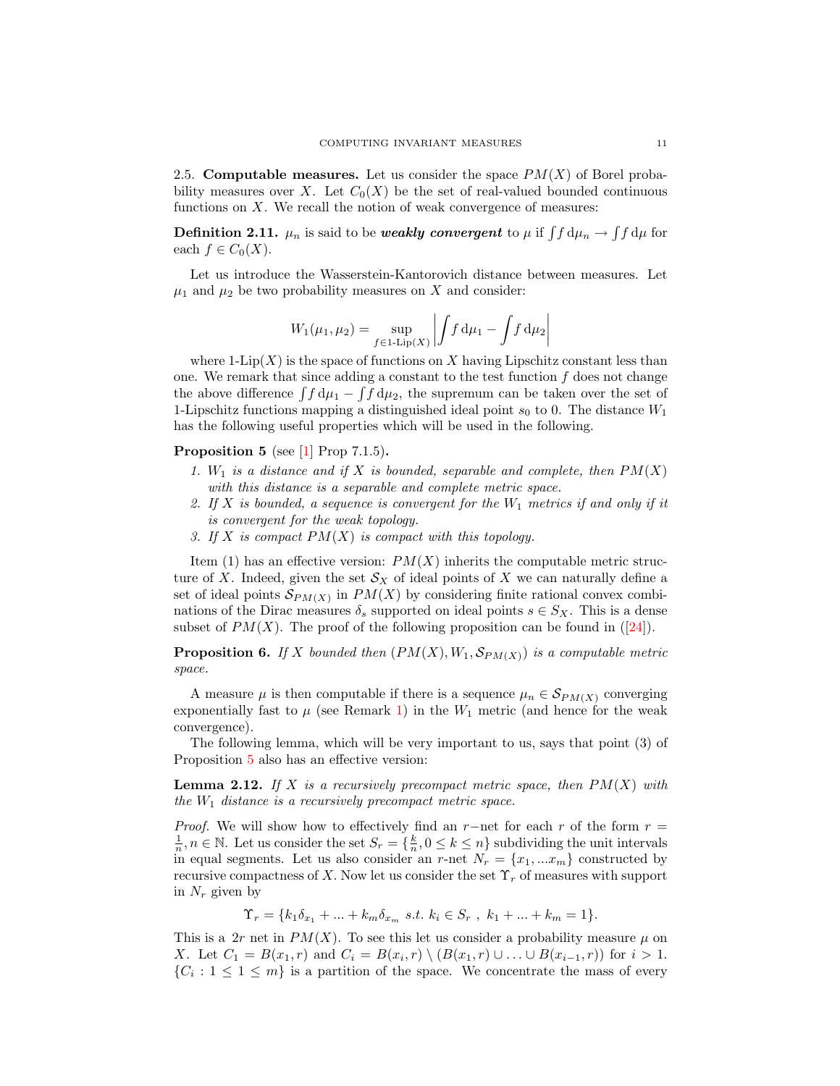<span id="page-10-0"></span>2.5. Computable measures. Let us consider the space  $PM(X)$  of Borel probability measures over X. Let  $C_0(X)$  be the set of real-valued bounded continuous functions on  $X$ . We recall the notion of weak convergence of measures:

**Definition 2.11.**  $\mu_n$  is said to be **weakly convergent** to  $\mu$  if  $\int f d\mu_n \to \int f d\mu$  for each  $f \in C_0(X)$ .

Let us introduce the Wasserstein-Kantorovich distance between measures. Let  $\mu_1$  and  $\mu_2$  be two probability measures on X and consider:

$$
W_1(\mu_1, \mu_2) = \sup_{f \in 1 \text{-}\text{Lip}(X)} \left| \int f \, \mathrm{d}\mu_1 - \int f \, \mathrm{d}\mu_2 \right|
$$

where 1-Lip $(X)$  is the space of functions on X having Lipschitz constant less than one. We remark that since adding a constant to the test function  $f$  does not change the above difference  $\int f d\mu_1 - \int f d\mu_2$ , the supremum can be taken over the set of 1-Lipschitz functions mapping a distinguished ideal point  $s_0$  to 0. The distance  $W_1$ has the following useful properties which will be used in the following.

<span id="page-10-1"></span>**Proposition 5** (see [\[1\]](#page-18-6) Prop 7.1.5).

- 1.  $W_1$  is a distance and if X is bounded, separable and complete, then  $PM(X)$ with this distance is a separable and complete metric space.
- 2. If X is bounded, a sequence is convergent for the  $W_1$  metrics if and only if it is convergent for the weak topology.
- 3. If X is compact  $PM(X)$  is compact with this topology.

Item (1) has an effective version:  $PM(X)$  inherits the computable metric structure of X. Indeed, given the set  $\mathcal{S}_X$  of ideal points of X we can naturally define a set of ideal points  $\mathcal{S}_{PM(X)}$  in  $PM(X)$  by considering finite rational convex combinations of the Dirac measures  $\delta_s$  supported on ideal points  $s \in S_X$ . This is a dense subset of  $PM(X)$ . The proof of the following proposition can be found in ([\[24\]](#page-19-13)).

**Proposition 6.** If X bounded then  $(PM(X), W_1, S_{PM(X)})$  is a computable metric space.

A measure  $\mu$  is then computable if there is a sequence  $\mu_n \in \mathcal{S}_{PM(X)}$  converging exponentially fast to  $\mu$  (see Remark [1\)](#page-6-0) in the  $W_1$  metric (and hence for the weak convergence).

The following lemma, which will be very important to us, says that point (3) of Proposition [5](#page-10-1) also has an effective version:

<span id="page-10-2"></span>**Lemma 2.12.** If X is a recursively precompact metric space, then  $PM(X)$  with the  $W_1$  distance is a recursively precompact metric space.

*Proof.* We will show how to effectively find an r−net for each r of the form  $r =$  $\frac{1}{n}, n \in \mathbb{N}$ . Let us consider the set  $S_r = \{\frac{k}{n}, 0 \le k \le n\}$  subdividing the unit intervals in equal segments. Let us also consider an r-net  $N_r = \{x_1, ... x_m\}$  constructed by recursive compactness of X. Now let us consider the set  $\Upsilon_r$  of measures with support in  $N_r$  given by

$$
\Upsilon_r = \{k_1 \delta_{x_1} + \dots + k_m \delta_{x_m} \text{ s.t. } k_i \in S_r , k_1 + \dots + k_m = 1\}.
$$

This is a 2r net in  $PM(X)$ . To see this let us consider a probability measure  $\mu$  on X. Let  $C_1 = B(x_1, r)$  and  $C_i = B(x_i, r) \setminus (B(x_1, r) \cup ... \cup B(x_{i-1}, r))$  for  $i > 1$ .  $\{C_i : 1 \leq 1 \leq m\}$  is a partition of the space. We concentrate the mass of every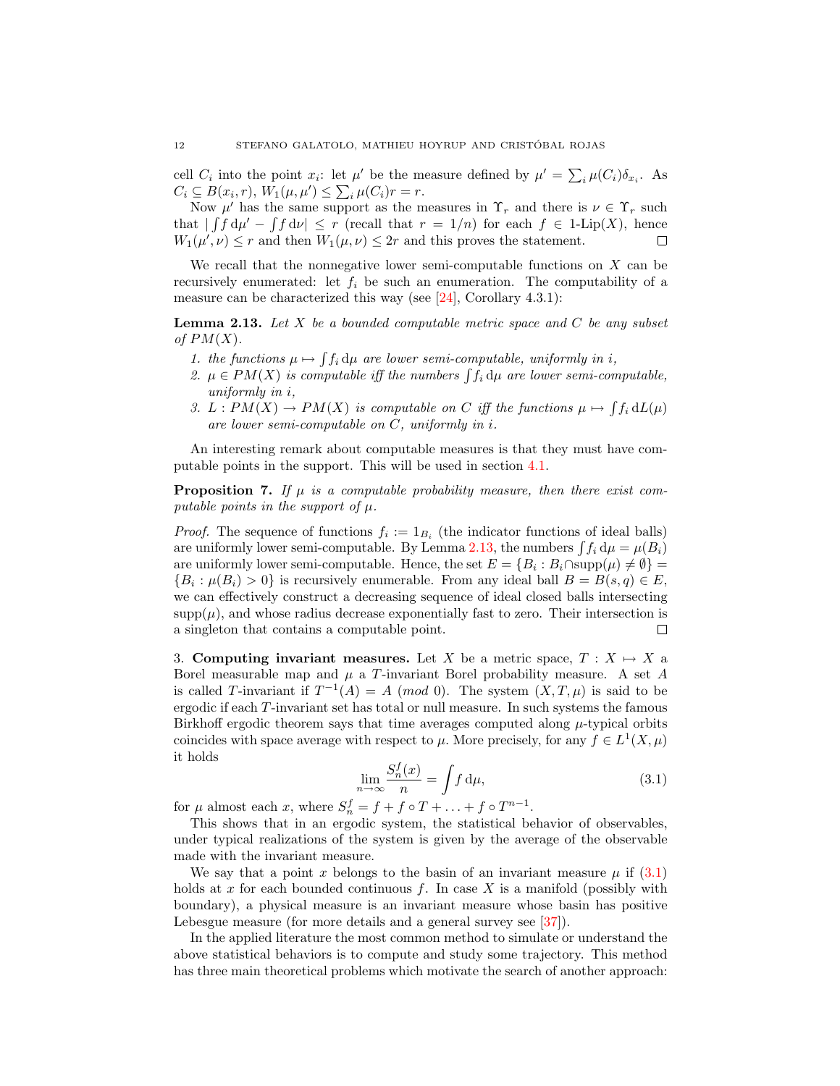cell  $C_i$  into the point  $x_i$ : let  $\mu'$  be the measure defined by  $\mu' = \sum_i \mu(C_i) \delta_{x_i}$ . As  $C_i \subseteq B(x_i, r), W_1(\mu, \mu') \le \sum_i \mu(C_i)r = r.$ 

Now  $\mu'$  has the same support as the measures in  $\Upsilon_r$  and there is  $\nu \in \Upsilon_r$  such that  $| \int f d\mu' - \int f d\nu | \leq r$  (recall that  $r = 1/n$ ) for each  $f \in 1$ -Lip(X), hence  $W_1(\mu', \nu) \le r$  and then  $W_1(\mu, \nu) \le 2r$  and this proves the statement.

We recall that the nonnegative lower semi-computable functions on  $X$  can be recursively enumerated: let  $f_i$  be such an enumeration. The computability of a measure can be characterized this way (see [\[24\]](#page-19-13), Corollary 4.3.1):

<span id="page-11-1"></span>**Lemma 2.13.** Let  $X$  be a bounded computable metric space and  $C$  be any subset of  $PM(X)$ .

- <span id="page-11-3"></span>1. the functions  $\mu \mapsto \int f_i \, d\mu$  are lower semi-computable, uniformly in i,
- 2.  $\mu \in PM(X)$  is computable iff the numbers  $\int f_i d\mu$  are lower semi-computable, uniformly in i,
- <span id="page-11-4"></span>3. L :  $PM(X) \to PM(X)$  is computable on C iff the functions  $\mu \mapsto \int f_i dL(\mu)$ are lower semi-computable on C, uniformly in i.

An interesting remark about computable measures is that they must have computable points in the support. This will be used in section [4.1.](#page-16-0)

<span id="page-11-5"></span>**Proposition 7.** If  $\mu$  is a computable probability measure, then there exist computable points in the support of  $\mu$ .

*Proof.* The sequence of functions  $f_i := 1_{B_i}$  (the indicator functions of ideal balls) are uniformly lower semi-computable. By Lemma [2.13,](#page-11-1) the numbers  $\int f_i d\mu = \mu(B_i)$ are uniformly lower semi-computable. Hence, the set  $E = \{B_i : B_i \cap \text{supp}(\mu) \neq \emptyset\}$  ${B_i : \mu(B_i) > 0}$  is recursively enumerable. From any ideal ball  $B = B(s, q) \in E$ , we can effectively construct a decreasing sequence of ideal closed balls intersecting  $\text{supp}(\mu)$ , and whose radius decrease exponentially fast to zero. Their intersection is a singleton that contains a computable point. □

<span id="page-11-0"></span>3. Computing invariant measures. Let X be a metric space,  $T : X \mapsto X$  a Borel measurable map and  $\mu$  a T-invariant Borel probability measure. A set A is called T-invariant if  $T^{-1}(A) = A \pmod{0}$ . The system  $(X, T, \mu)$  is said to be ergodic if each T-invariant set has total or null measure. In such systems the famous Birkhoff ergodic theorem says that time averages computed along  $\mu$ -typical orbits coincides with space average with respect to  $\mu$ . More precisely, for any  $f \in L^1(X, \mu)$ it holds

<span id="page-11-2"></span>
$$
\lim_{n \to \infty} \frac{S_n^f(x)}{n} = \int f \, \mathrm{d}\mu,\tag{3.1}
$$

for  $\mu$  almost each  $x$ , where  $S_n^f = f + f \circ T + \ldots + f \circ T^{n-1}$ .

This shows that in an ergodic system, the statistical behavior of observables, under typical realizations of the system is given by the average of the observable made with the invariant measure.

We say that a point x belongs to the basin of an invariant measure  $\mu$  if [\(3.1\)](#page-11-2) holds at x for each bounded continuous f. In case  $X$  is a manifold (possibly with boundary), a physical measure is an invariant measure whose basin has positive Lebesgue measure (for more details and a general survey see [\[37\]](#page-19-1)).

In the applied literature the most common method to simulate or understand the above statistical behaviors is to compute and study some trajectory. This method has three main theoretical problems which motivate the search of another approach: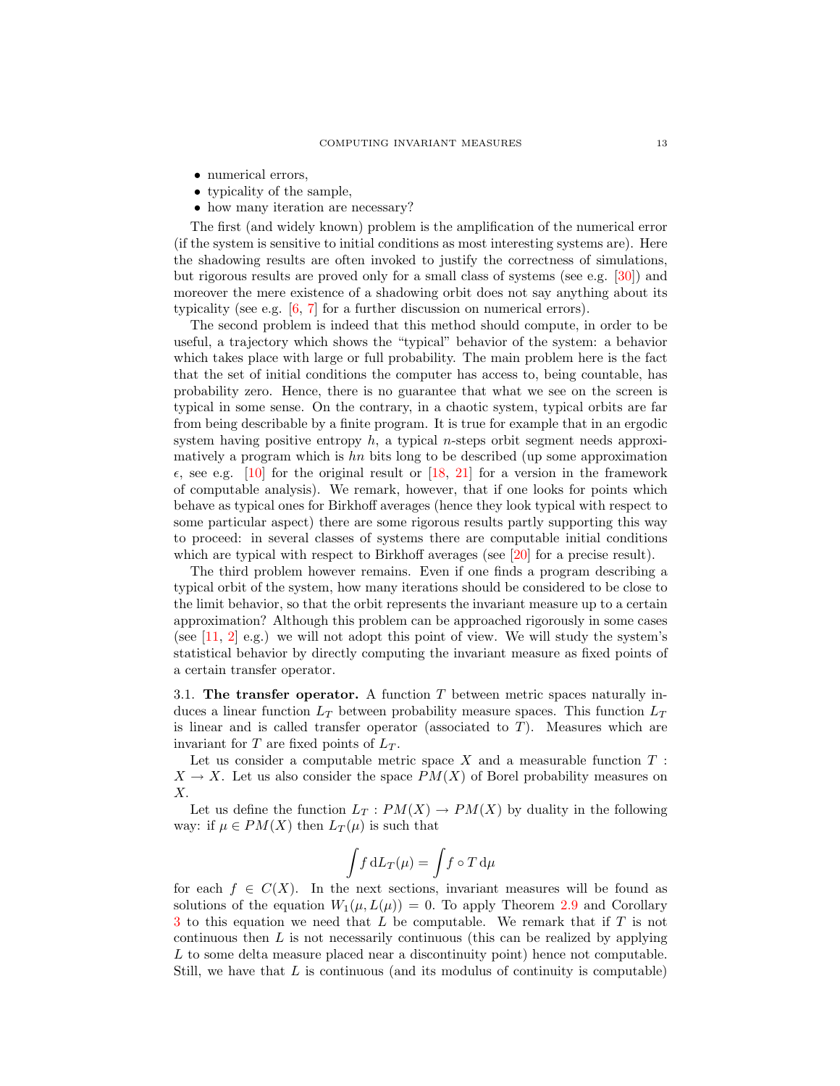- numerical errors,
- typicality of the sample,
- how many iteration are necessary?

The first (and widely known) problem is the amplification of the numerical error (if the system is sensitive to initial conditions as most interesting systems are). Here the shadowing results are often invoked to justify the correctness of simulations, but rigorous results are proved only for a small class of systems (see e.g. [\[30\]](#page-19-14)) and moreover the mere existence of a shadowing orbit does not say anything about its typicality (see e.g. [\[6,](#page-18-3) [7\]](#page-18-7) for a further discussion on numerical errors).

The second problem is indeed that this method should compute, in order to be useful, a trajectory which shows the "typical" behavior of the system: a behavior which takes place with large or full probability. The main problem here is the fact that the set of initial conditions the computer has access to, being countable, has probability zero. Hence, there is no guarantee that what we see on the screen is typical in some sense. On the contrary, in a chaotic system, typical orbits are far from being describable by a finite program. It is true for example that in an ergodic system having positive entropy  $h$ , a typical n-steps orbit segment needs approximatively a program which is  $hn$  bits long to be described (up some approximation  $\epsilon$ , see e.g. [\[10\]](#page-18-8) for the original result or [\[18,](#page-19-15) [21\]](#page-19-9) for a version in the framework of computable analysis). We remark, however, that if one looks for points which behave as typical ones for Birkhoff averages (hence they look typical with respect to some particular aspect) there are some rigorous results partly supporting this way to proceed: in several classes of systems there are computable initial conditions which are typical with respect to Birkhoff averages (see [\[20\]](#page-19-6) for a precise result).

The third problem however remains. Even if one finds a program describing a typical orbit of the system, how many iterations should be considered to be close to the limit behavior, so that the orbit represents the invariant measure up to a certain approximation? Although this problem can be approached rigorously in some cases (see  $[11, 2]$  $[11, 2]$  e.g.) we will not adopt this point of view. We will study the system's statistical behavior by directly computing the invariant measure as fixed points of a certain transfer operator.

3.1. The transfer operator. A function  $T$  between metric spaces naturally induces a linear function  $L_T$  between probability measure spaces. This function  $L_T$ is linear and is called transfer operator (associated to  $T$ ). Measures which are invariant for  $T$  are fixed points of  $L_T$ .

Let us consider a computable metric space  $X$  and a measurable function  $T$ :  $X \to X$ . Let us also consider the space  $PM(X)$  of Borel probability measures on X.

Let us define the function  $L_T: PM(X) \to PM(X)$  by duality in the following way: if  $\mu \in PM(X)$  then  $L_T(\mu)$  is such that

$$
\int f \, \mathrm{d} L_T(\mu) = \int f \circ T \, \mathrm{d}\mu
$$

for each  $f \in C(X)$ . In the next sections, invariant measures will be found as solutions of the equation  $W_1(\mu, L(\mu)) = 0$ . To apply Theorem [2.9](#page-9-3) and Corollary  $3$  to this equation we need that L be computable. We remark that if T is not continuous then L is not necessarily continuous (this can be realized by applying L to some delta measure placed near a discontinuity point) hence not computable. Still, we have that  $L$  is continuous (and its modulus of continuity is computable)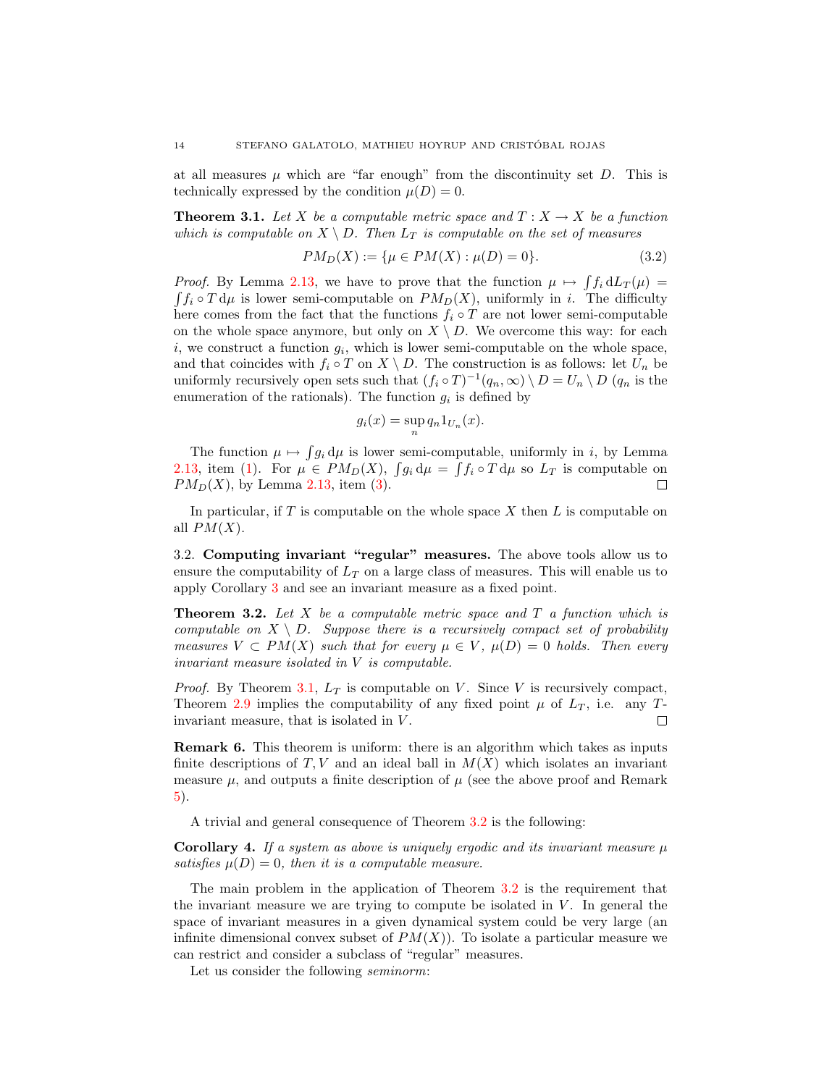at all measures  $\mu$  which are "far enough" from the discontinuity set D. This is technically expressed by the condition  $\mu(D) = 0$ .

<span id="page-13-0"></span>**Theorem 3.1.** Let X be a computable metric space and  $T : X \to X$  be a function which is computable on  $X \setminus D$ . Then  $L_T$  is computable on the set of measures

$$
PM_D(X) := \{ \mu \in PM(X) : \mu(D) = 0 \}. \tag{3.2}
$$

*Proof.* By Lemma [2.13,](#page-11-1) we have to prove that the function  $\mu \mapsto \int f_i dL_T(\mu) =$  $\int f_i \circ T d\mu$  is lower semi-computable on  $PM_D(X)$ , uniformly in i. The difficulty here comes from the fact that the functions  $f_i \circ T$  are not lower semi-computable on the whole space anymore, but only on  $X \setminus D$ . We overcome this way: for each  $i$ , we construct a function  $g_i$ , which is lower semi-computable on the whole space, and that coincides with  $f_i \circ T$  on  $X \setminus D$ . The construction is as follows: let  $U_n$  be uniformly recursively open sets such that  $(f_i \circ T)^{-1}(q_n, \infty) \setminus D = U_n \setminus D$   $(q_n$  is the enumeration of the rationals). The function  $g_i$  is defined by

$$
g_i(x) = \sup_n q_n 1_{U_n}(x).
$$

The function  $\mu \mapsto \int g_i d\mu$  is lower semi-computable, uniformly in i, by Lemma [2.13,](#page-11-1) item [\(1\)](#page-11-3). For  $\mu \in PM_D(X)$ ,  $\int g_i d\mu = \int f_i \circ T d\mu$  so  $L_T$  is computable on  $PM_D(X)$ , by Lemma [2.13,](#page-11-1) item [\(3\)](#page-11-4).

In particular, if  $T$  is computable on the whole space  $X$  then  $L$  is computable on all  $PM(X)$ .

3.2. Computing invariant "regular" measures. The above tools allow us to ensure the computability of  $L_T$  on a large class of measures. This will enable us to apply Corollary [3](#page-9-0) and see an invariant measure as a fixed point.

<span id="page-13-1"></span>**Theorem 3.2.** Let X be a computable metric space and  $T$  a function which is computable on  $X \setminus D$ . Suppose there is a recursively compact set of probability measures  $V \subset PM(X)$  such that for every  $\mu \in V$ ,  $\mu(D) = 0$  holds. Then every invariant measure isolated in V is computable.

*Proof.* By Theorem [3.1,](#page-13-0)  $L_T$  is computable on V. Since V is recursively compact, Theorem [2.9](#page-9-3) implies the computability of any fixed point  $\mu$  of  $L_T$ , i.e. any Tinvariant measure, that is isolated in V.  $\Box$ 

<span id="page-13-2"></span>Remark 6. This theorem is uniform: there is an algorithm which takes as inputs finite descriptions of T, V and an ideal ball in  $M(X)$  which isolates an invariant measure  $\mu$ , and outputs a finite description of  $\mu$  (see the above proof and Remark [5\)](#page-9-4).

A trivial and general consequence of Theorem [3.2](#page-13-1) is the following:

Corollary 4. If a system as above is uniquely ergodic and its invariant measure  $\mu$ satisfies  $\mu(D) = 0$ , then it is a computable measure.

The main problem in the application of Theorem [3.2](#page-13-1) is the requirement that the invariant measure we are trying to compute be isolated in  $V$ . In general the space of invariant measures in a given dynamical system could be very large (an infinite dimensional convex subset of  $PM(X)$ ). To isolate a particular measure we can restrict and consider a subclass of "regular" measures.

Let us consider the following seminorm: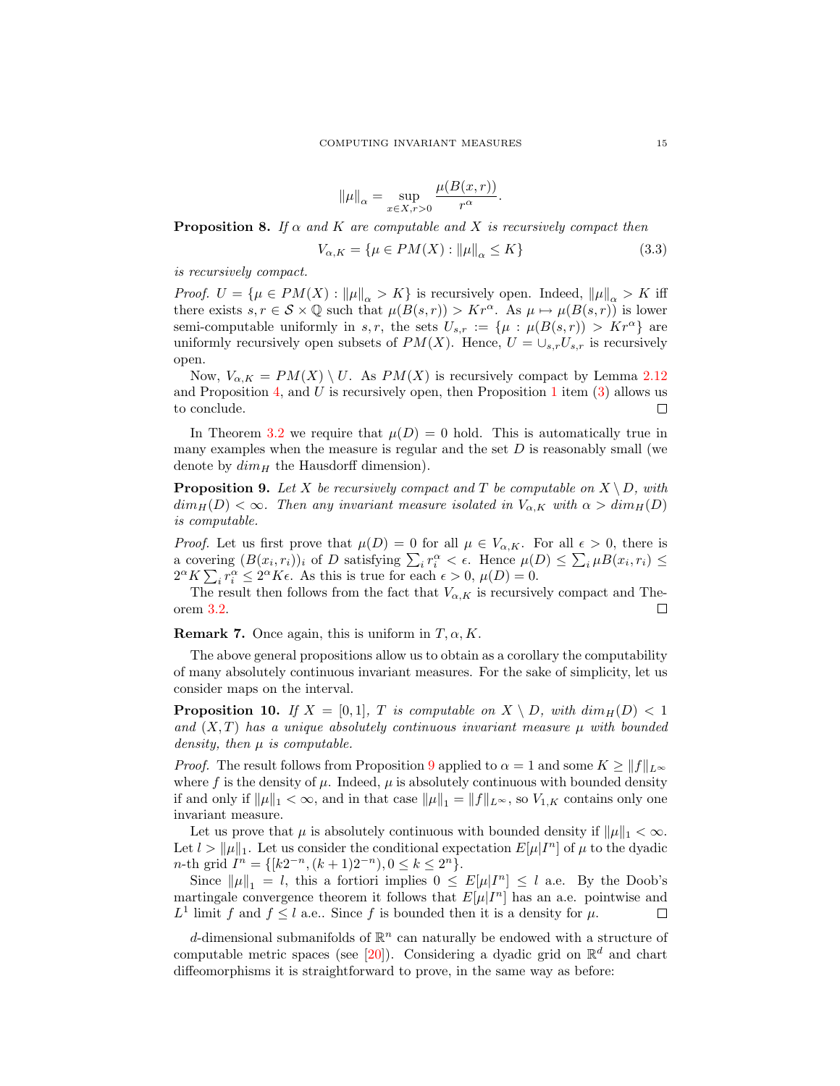$$
\|\mu\|_{\alpha} = \sup_{x \in X, r > 0} \frac{\mu(B(x, r))}{r^{\alpha}}.
$$

<span id="page-14-2"></span>**Proposition 8.** If  $\alpha$  and K are computable and X is recursively compact then

$$
V_{\alpha,K} = \{\mu \in PM(X) : ||\mu||_{\alpha} \le K\}
$$
\n(3.3)

is recursively compact.

*Proof.*  $U = \{ \mu \in PM(X) : ||\mu||_{\alpha} > K \}$  is recursively open. Indeed,  $||\mu||_{\alpha} > K$  iff there exists  $s, r \in S \times \mathbb{Q}$  such that  $\mu(B(s, r)) > Kr^{\alpha}$ . As  $\mu \mapsto \mu(B(s, r))$  is lower semi-computable uniformly in s, r, the sets  $U_{s,r} := \{\mu : \mu(B(s,r)) > Kr^{\alpha}\}\$ are uniformly recursively open subsets of  $PM(X)$ . Hence,  $U = \bigcup_{s,r} U_{s,r}$  is recursively open.

Now,  $V_{\alpha,K} = PM(X) \setminus U$ . As  $PM(X)$  is recursively compact by Lemma [2.12](#page-10-2) and Proposition [4,](#page-9-2) and U is recursively open, then Proposition [1](#page-7-4) item  $(3)$  allows us to conclude.  $\Box$ 

In Theorem [3.2](#page-13-1) we require that  $\mu(D) = 0$  hold. This is automatically true in many examples when the measure is regular and the set  $D$  is reasonably small (we denote by  $dim_H$  the Hausdorff dimension).

<span id="page-14-0"></span>**Proposition 9.** Let X be recursively compact and T be computable on  $X \setminus D$ , with  $dim_H(D) < \infty$ . Then any invariant measure isolated in  $V_{\alpha,K}$  with  $\alpha > dim_H(D)$ is computable.

*Proof.* Let us first prove that  $\mu(D) = 0$  for all  $\mu \in V_{\alpha,K}$ . For all  $\epsilon > 0$ , there is a covering  $(B(x_i, r_i))_i$  of D satisfying  $\sum_i r_i^{\alpha} < \epsilon$ . Hence  $\mu(D) \leq \sum_i \mu B(x_i, r_i) \leq$  $2^{\alpha} K \sum_{i} r_i^{\alpha} \leq 2^{\alpha} K \epsilon$ . As this is true for each  $\epsilon > 0$ ,  $\mu(D) = 0$ .

The result then follows from the fact that  $V_{\alpha,K}$  is recursively compact and Theorem [3.2.](#page-13-1)  $\Box$ 

**Remark 7.** Once again, this is uniform in  $T, \alpha, K$ .

The above general propositions allow us to obtain as a corollary the computability of many absolutely continuous invariant measures. For the sake of simplicity, let us consider maps on the interval.

<span id="page-14-1"></span>**Proposition 10.** If  $X = [0, 1]$ , T is computable on  $X \setminus D$ , with  $dim_H(D) < 1$ and  $(X, T)$  has a unique absolutely continuous invariant measure  $\mu$  with bounded density, then  $\mu$  is computable.

*Proof.* The result follows from Proposition [9](#page-14-0) applied to  $\alpha = 1$  and some  $K \geq ||f||_{L^{\infty}}$ where f is the density of  $\mu$ . Indeed,  $\mu$  is absolutely continuous with bounded density if and only if  $\|\mu\|_1 < \infty$ , and in that case  $\|\mu\|_1 = \|f\|_{L^\infty}$ , so  $V_{1,K}$  contains only one invariant measure.

Let us prove that  $\mu$  is absolutely continuous with bounded density if  $\|\mu\|_1 < \infty$ . Let  $l > ||\mu||_1$ . Let us consider the conditional expectation  $E[\mu|I^n]$  of  $\mu$  to the dyadic n-th grid  $I^n = \{ [k2^{-n}, (k+1)2^{-n}), 0 \le k \le 2^n \}.$ 

Since  $||\mu||_1 = l$ , this a fortiori implies  $0 \leq E[\mu]I^n] \leq l$  a.e. By the Doob's martingale convergence theorem it follows that  $E[\mu|I^n]$  has an a.e. pointwise and  $L^1$  limit f and  $f \leq l$  a.e.. Since f is bounded then it is a density for  $\mu$ .  $\Box$ 

d-dimensional submanifolds of  $\mathbb{R}^n$  can naturally be endowed with a structure of computable metric spaces (see [\[20\]](#page-19-6)). Considering a dyadic grid on  $\mathbb{R}^d$  and chart diffeomorphisms it is straightforward to prove, in the same way as before: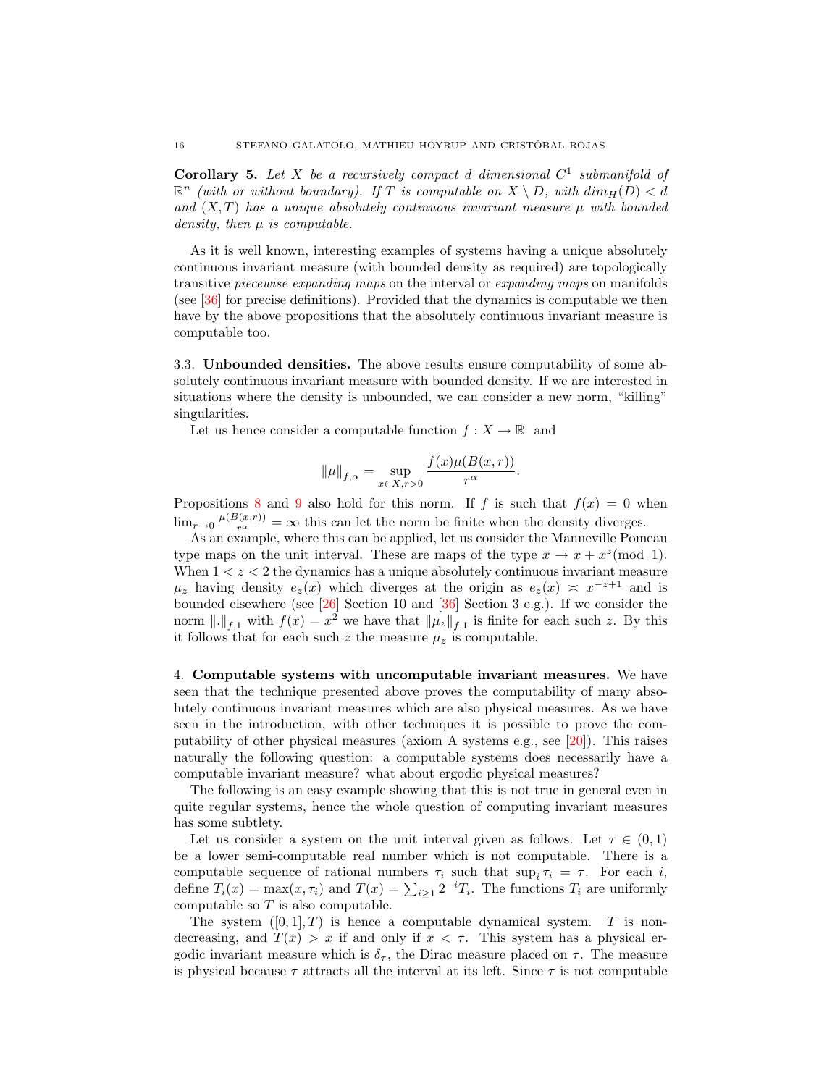**Corollary 5.** Let X be a recursively compact d dimensional  $C^1$  submanifold of  $\mathbb{R}^n$  (with or without boundary). If T is computable on  $X \setminus D$ , with  $\dim_H(D) < d$ and  $(X, T)$  has a unique absolutely continuous invariant measure  $\mu$  with bounded density, then  $\mu$  is computable.

As it is well known, interesting examples of systems having a unique absolutely continuous invariant measure (with bounded density as required) are topologically transitive piecewise expanding maps on the interval or expanding maps on manifolds (see [\[36\]](#page-19-16) for precise definitions). Provided that the dynamics is computable we then have by the above propositions that the absolutely continuous invariant measure is computable too.

3.3. Unbounded densities. The above results ensure computability of some absolutely continuous invariant measure with bounded density. If we are interested in situations where the density is unbounded, we can consider a new norm, "killing" singularities.

Let us hence consider a computable function  $f: X \to \mathbb{R}$  and

$$
\|\mu\|_{f,\alpha} = \sup_{x \in X, r>0} \frac{f(x)\mu(B(x,r))}{r^{\alpha}}.
$$

Propositions [8](#page-14-2) and [9](#page-14-0) also hold for this norm. If f is such that  $f(x) = 0$  when  $\lim_{r\to 0} \frac{\mu(B(x,r))}{r^{\alpha}} = \infty$  this can let the norm be finite when the density diverges.

As an example, where this can be applied, let us consider the Manneville Pomeau type maps on the unit interval. These are maps of the type  $x \to x + x^z \pmod{1}$ . When  $1 < z < 2$  the dynamics has a unique absolutely continuous invariant measure  $\mu_z$  having density  $e_z(x)$  which diverges at the origin as  $e_z(x) \approx x^{-z+1}$  and is bounded elsewhere (see [\[26\]](#page-19-17) Section 10 and [\[36\]](#page-19-16) Section 3 e.g.). If we consider the norm  $\|.\|_{f,1}$  with  $f(x) = x^2$  we have that  $\|\mu_z\|_{f,1}$  is finite for each such z. By this it follows that for each such z the measure  $\mu_z$  is computable.

<span id="page-15-0"></span>4. Computable systems with uncomputable invariant measures. We have seen that the technique presented above proves the computability of many absolutely continuous invariant measures which are also physical measures. As we have seen in the introduction, with other techniques it is possible to prove the computability of other physical measures (axiom A systems e.g., see [\[20\]](#page-19-6)). This raises naturally the following question: a computable systems does necessarily have a computable invariant measure? what about ergodic physical measures?

The following is an easy example showing that this is not true in general even in quite regular systems, hence the whole question of computing invariant measures has some subtlety.

Let us consider a system on the unit interval given as follows. Let  $\tau \in (0,1)$ be a lower semi-computable real number which is not computable. There is a computable sequence of rational numbers  $\tau_i$  such that  $\sup_i \tau_i = \tau$ . For each *i*, define  $T_i(x) = \max(x, \tau_i)$  and  $T(x) = \sum_{i \geq 1} 2^{-i} T_i$ . The functions  $T_i$  are uniformly computable so  $T$  is also computable.

The system  $([0, 1], T)$  is hence a computable dynamical system. T is nondecreasing, and  $T(x) > x$  if and only if  $x < \tau$ . This system has a physical ergodic invariant measure which is  $\delta_{\tau}$ , the Dirac measure placed on  $\tau$ . The measure is physical because  $\tau$  attracts all the interval at its left. Since  $\tau$  is not computable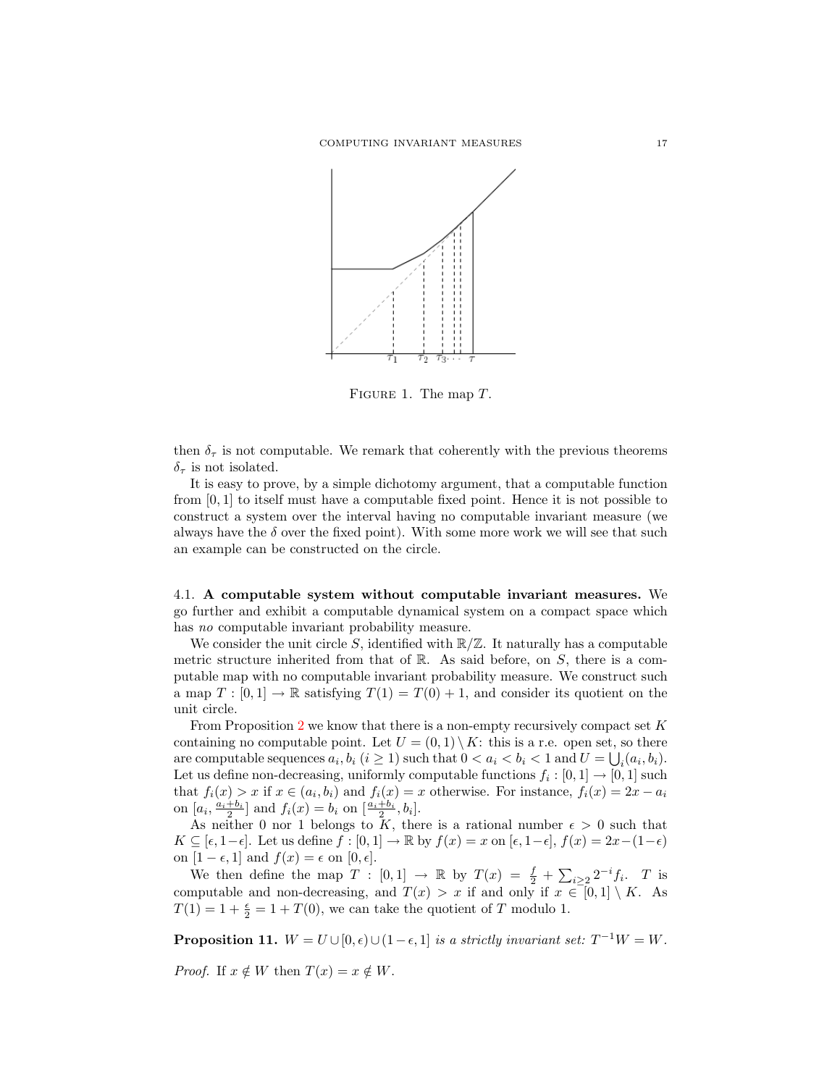

FIGURE 1. The map  $T$ .

then  $\delta_{\tau}$  is not computable. We remark that coherently with the previous theorems  $\delta_{\tau}$  is not isolated.

It is easy to prove, by a simple dichotomy argument, that a computable function from [0, 1] to itself must have a computable fixed point. Hence it is not possible to construct a system over the interval having no computable invariant measure (we always have the  $\delta$  over the fixed point). With some more work we will see that such an example can be constructed on the circle.

<span id="page-16-0"></span>4.1. A computable system without computable invariant measures. We go further and exhibit a computable dynamical system on a compact space which has no computable invariant probability measure.

We consider the unit circle S, identified with  $\mathbb{R}/\mathbb{Z}$ . It naturally has a computable metric structure inherited from that of  $\mathbb{R}$ . As said before, on  $S$ , there is a computable map with no computable invariant probability measure. We construct such a map  $T : [0,1] \to \mathbb{R}$  satisfying  $T(1) = T(0) + 1$ , and consider its quotient on the unit circle.

From Proposition [2](#page-8-2) we know that there is a non-empty recursively compact set  $K$ containing no computable point. Let  $U = (0,1) \setminus K$ : this is a r.e. open set, so there are computable sequences  $a_i, b_i$   $(i \geq 1)$  such that  $0 < a_i < b_i < 1$  and  $U = \bigcup_i (a_i, b_i)$ . Let us define non-decreasing, uniformly computable functions  $f_i : [0,1] \rightarrow [0,1]$  such that  $f_i(x) > x$  if  $x \in (a_i, b_i)$  and  $f_i(x) = x$  otherwise. For instance,  $f_i(x) = 2x - a_i$ on  $[a_i, \frac{a_i + b_i}{2}]$  and  $f_i(x) = b_i$  on  $\left[\frac{a_i + b_i}{2}, b_i\right]$ .

As neither 0 nor 1 belongs to K, there is a rational number  $\epsilon > 0$  such that  $K \subseteq [\epsilon, 1-\epsilon]$ . Let us define  $f : [0,1] \to \mathbb{R}$  by  $f(x) = x$  on  $[\epsilon, 1-\epsilon]$ ,  $f(x) = 2x-(1-\epsilon)$ on  $[1 - \epsilon, 1]$  and  $f(x) = \epsilon$  on  $[0, \epsilon]$ .

We then define the map  $T : [0,1] \rightarrow \mathbb{R}$  by  $T(x) = \frac{f}{2} + \sum_{i \geq 2} 2^{-i} f_i$ . T is computable and non-decreasing, and  $T(x) > x$  if and only if  $x \in [0,1] \setminus K$ . As  $T(1) = 1 + \frac{\epsilon}{2} = 1 + T(0)$ , we can take the quotient of T modulo 1.

**Proposition 11.**  $W = U \cup [0, \epsilon) \cup (1 - \epsilon, 1]$  is a strictly invariant set:  $T^{-1}W = W$ . *Proof.* If  $x \notin W$  then  $T(x) = x \notin W$ .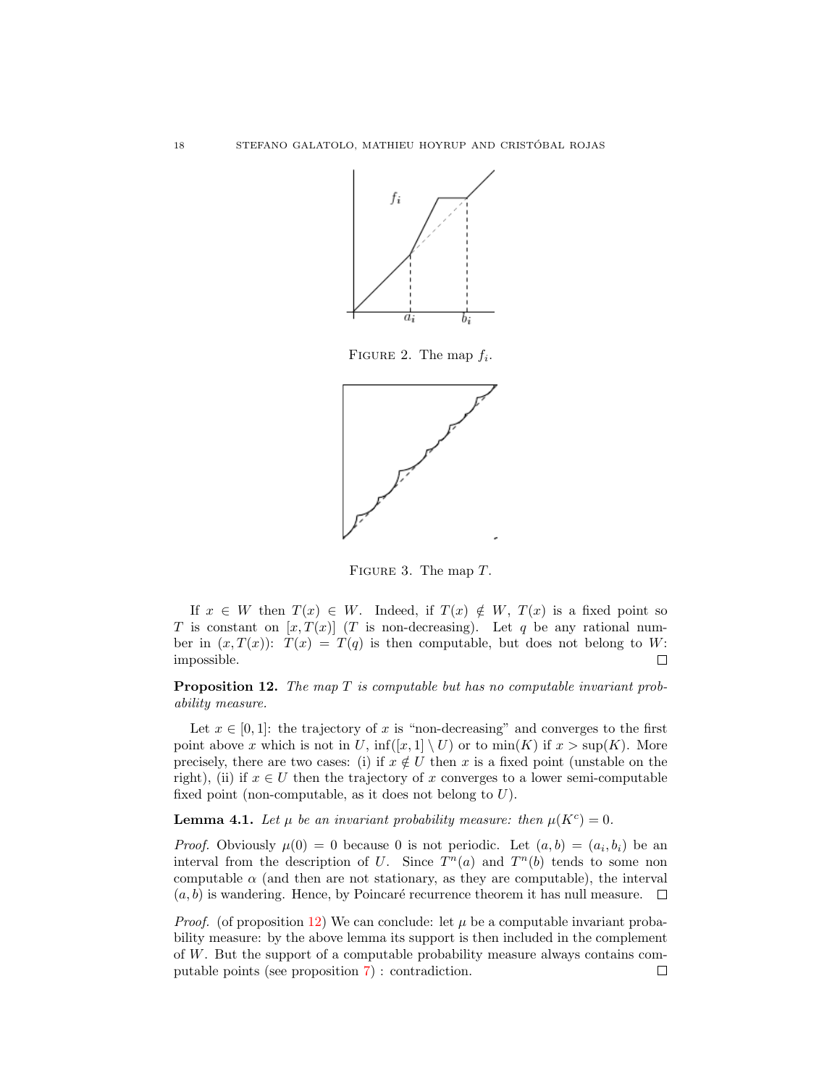

FIGURE 2. The map  $f_i$ .



FIGURE 3. The map  $T$ .

If  $x \in W$  then  $T(x) \in W$ . Indeed, if  $T(x) \notin W$ ,  $T(x)$  is a fixed point so T is constant on  $[x, T(x)]$  (T is non-decreasing). Let q be any rational number in  $(x, T(x))$ :  $T(x) = T(q)$  is then computable, but does not belong to W: impossible. □

<span id="page-17-0"></span>**Proposition 12.** The map  $T$  is computable but has no computable invariant probability measure.

Let  $x \in [0,1]$ : the trajectory of x is "non-decreasing" and converges to the first point above x which is not in U,  $\inf([x,1] \setminus U)$  or to  $\min(K)$  if  $x > \sup(K)$ . More precisely, there are two cases: (i) if  $x \notin U$  then x is a fixed point (unstable on the right), (ii) if  $x \in U$  then the trajectory of x converges to a lower semi-computable fixed point (non-computable, as it does not belong to  $U$ ).

**Lemma 4.1.** Let  $\mu$  be an invariant probability measure: then  $\mu(K^c) = 0$ .

*Proof.* Obviously  $\mu(0) = 0$  because 0 is not periodic. Let  $(a, b) = (a_i, b_i)$  be an interval from the description of U. Since  $T^n(a)$  and  $T^n(b)$  tends to some non computable  $\alpha$  (and then are not stationary, as they are computable), the interval  $(a, b)$  is wandering. Hence, by Poincaré recurrence theorem it has null measure.  $\Box$ 

*Proof.* (of proposition [12\)](#page-17-0) We can conclude: let  $\mu$  be a computable invariant probability measure: by the above lemma its support is then included in the complement of W. But the support of a computable probability measure always contains computable points (see proposition [7\)](#page-11-5) : contradiction. $\Box$ 

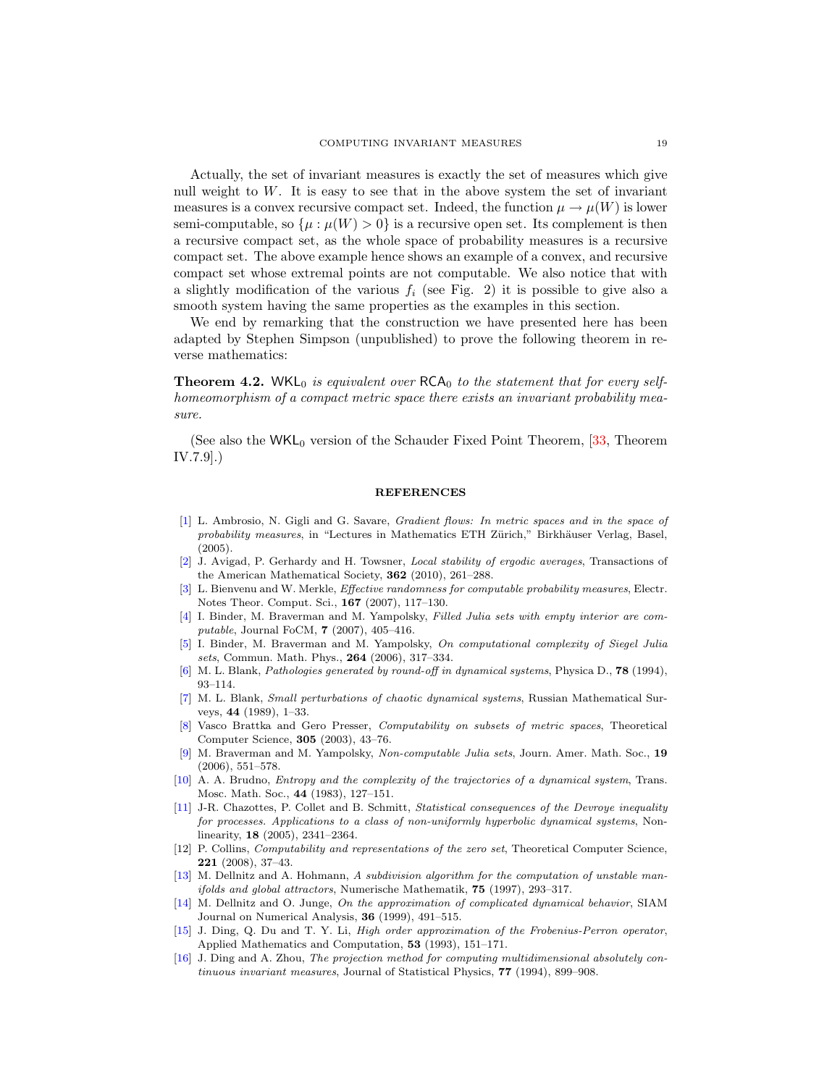Actually, the set of invariant measures is exactly the set of measures which give null weight to W. It is easy to see that in the above system the set of invariant measures is a convex recursive compact set. Indeed, the function  $\mu \to \mu(W)$  is lower semi-computable, so  $\{\mu : \mu(W) > 0\}$  is a recursive open set. Its complement is then a recursive compact set, as the whole space of probability measures is a recursive compact set. The above example hence shows an example of a convex, and recursive compact set whose extremal points are not computable. We also notice that with a slightly modification of the various  $f_i$  (see Fig. 2) it is possible to give also a smooth system having the same properties as the examples in this section.

We end by remarking that the construction we have presented here has been adapted by Stephen Simpson (unpublished) to prove the following theorem in reverse mathematics:

**Theorem 4.2.** WKL<sub>0</sub> is equivalent over  $RCA_0$  to the statement that for every selfhomeomorphism of a compact metric space there exists an invariant probability measure.

(See also the WKL<sub>0</sub> version of the Schauder Fixed Point Theorem,  $\left[33, 32\right]$ , Theorem IV.7.9].)

#### **REFERENCES**

- <span id="page-18-6"></span>[\[1\]](http://www.ams.org/mathscinet-getitem?mr=MR2129498&return=pdf) L. Ambrosio, N. Gigli and G. Savare, *Gradient flows: In metric spaces and in the space of* probability measures, in "Lectures in Mathematics ETH Zürich," Birkhäuser Verlag, Basel,  $(2005)$
- <span id="page-18-10"></span>[\[2\]](http://www.ams.org/mathscinet-getitem?mr=MR2550151&return=pdf) J. Avigad, P. Gerhardy and H. Towsner, Local stability of ergodic averages, Transactions of the American Mathematical Society, 362 (2010), 261–288.
- <span id="page-18-2"></span>[\[3\]](http://www.ams.org/mathscinet-getitem?mr=MR2321782&return=pdf) L. Bienvenu and W. Merkle, Effective randomness for computable probability measures, Electr. Notes Theor. Comput. Sci., 167 (2007), 117–130.
- [\[4\]](http://www.ams.org/mathscinet-getitem?mr=MR2352604&return=pdf) I. Binder, M. Braverman and M. Yampolsky, Filled Julia sets with empty interior are computable, Journal FoCM, 7 (2007), 405–416.
- [\[5\]](http://www.ams.org/mathscinet-getitem?mr=MR2215607&return=pdf) I. Binder, M. Braverman and M. Yampolsky, On computational complexity of Siegel Julia sets, Commun. Math. Phys., 264 (2006), 317-334.
- <span id="page-18-3"></span>[\[6\]](http://www.ams.org/mathscinet-getitem?mr=MR1299502&return=pdf) M. L. Blank, Pathologies generated by round-off in dynamical systems, Physica D., 78 (1994), 93–114.
- <span id="page-18-7"></span>[\[7\]](http://www.ams.org/mathscinet-getitem?mr=MR1037009&return=pdf) M. L. Blank, Small perturbations of chaotic dynamical systems, Russian Mathematical Surveys, 44 (1989), 1–33.
- <span id="page-18-4"></span>[\[8\]](http://www.ams.org/mathscinet-getitem?mr=MR2013565&return=pdf) Vasco Brattka and Gero Presser, Computability on subsets of metric spaces, Theoretical Computer Science, 305 (2003), 43–76.
- [\[9\]](http://www.ams.org/mathscinet-getitem?mr=MR2220099&return=pdf) M. Braverman and M. Yampolsky, Non-computable Julia sets, Journ. Amer. Math. Soc., 19 (2006), 551–578.
- <span id="page-18-8"></span>[\[10\]](http://www.ams.org/mathscinet-getitem?mr=MR0656285&return=pdf) A. A. Brudno, Entropy and the complexity of the trajectories of a dynamical system, Trans. Mosc. Math. Soc., 44 (1983), 127–151.
- <span id="page-18-9"></span>[\[11\]](http://www.ams.org/mathscinet-getitem?mr=MR2165706&return=pdf) J-R. Chazottes, P. Collet and B. Schmitt, Statistical consequences of the Devroye inequality for processes. Applications to a class of non-uniformly hyperbolic dynamical systems, Nonlinearity, 18 (2005), 2341–2364.
- <span id="page-18-5"></span>[12] P. Collins, Computability and representations of the zero set, Theoretical Computer Science, 221 (2008), 37–43.
- [\[13\]](http://www.ams.org/mathscinet-getitem?mr=MR1427710&return=pdf) M. Dellnitz and A. Hohmann, A subdivision algorithm for the computation of unstable manifolds and global attractors, Numerische Mathematik, 75 (1997), 293-317.
- [\[14\]](http://www.ams.org/mathscinet-getitem?mr=MR1668207&return=pdf) M. Dellnitz and O. Junge, On the approximation of complicated dynamical behavior, SIAM Journal on Numerical Analysis, 36 (1999), 491–515.
- <span id="page-18-0"></span>[\[15\]](http://www.ams.org/mathscinet-getitem?mr=MR1200085&return=pdf) J. Ding, Q. Du and T. Y. Li, High order approximation of the Frobenius-Perron operator, Applied Mathematics and Computation, 53 (1993), 151–171.
- <span id="page-18-1"></span>[\[16\]](http://www.ams.org/mathscinet-getitem?mr=MR1663465&return=pdf) J. Ding and A. Zhou, The projection method for computing multidimensional absolutely continuous invariant measures, Journal of Statistical Physics, 77 (1994), 899–908.